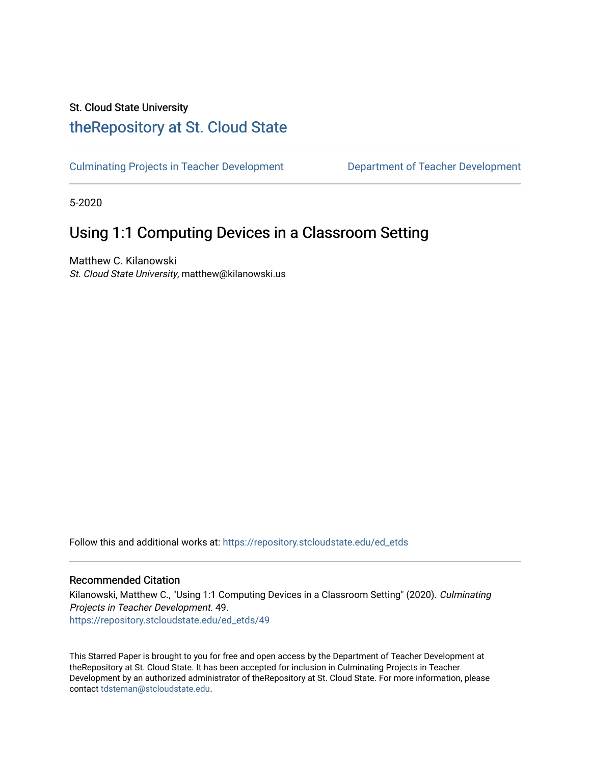# St. Cloud State University

# [theRepository at St. Cloud State](https://repository.stcloudstate.edu/)

[Culminating Projects in Teacher Development](https://repository.stcloudstate.edu/ed_etds) [Department of Teacher Development](https://repository.stcloudstate.edu/ed) 

5-2020

# Using 1:1 Computing Devices in a Classroom Setting

Matthew C. Kilanowski St. Cloud State University, matthew@kilanowski.us

Follow this and additional works at: [https://repository.stcloudstate.edu/ed\\_etds](https://repository.stcloudstate.edu/ed_etds?utm_source=repository.stcloudstate.edu%2Fed_etds%2F49&utm_medium=PDF&utm_campaign=PDFCoverPages)

# Recommended Citation

Kilanowski, Matthew C., "Using 1:1 Computing Devices in a Classroom Setting" (2020). Culminating Projects in Teacher Development. 49. [https://repository.stcloudstate.edu/ed\\_etds/49](https://repository.stcloudstate.edu/ed_etds/49?utm_source=repository.stcloudstate.edu%2Fed_etds%2F49&utm_medium=PDF&utm_campaign=PDFCoverPages) 

This Starred Paper is brought to you for free and open access by the Department of Teacher Development at theRepository at St. Cloud State. It has been accepted for inclusion in Culminating Projects in Teacher Development by an authorized administrator of theRepository at St. Cloud State. For more information, please contact [tdsteman@stcloudstate.edu.](mailto:tdsteman@stcloudstate.edu)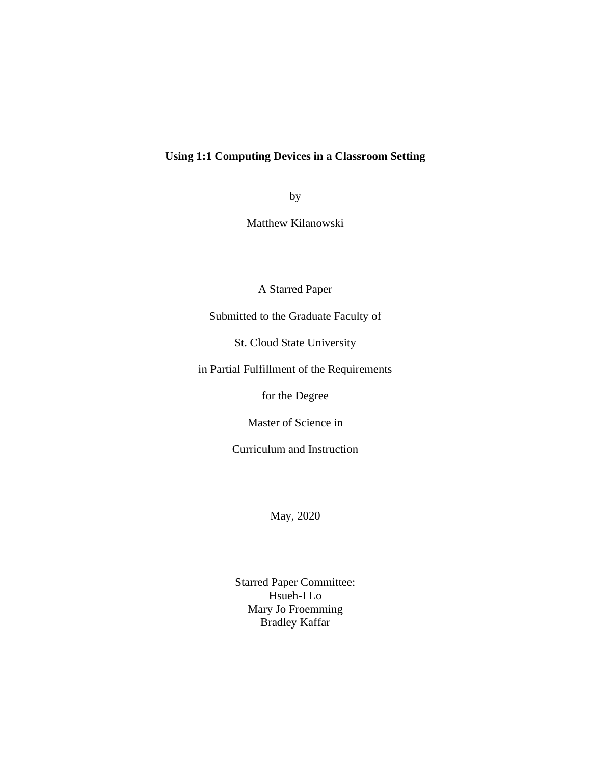# **Using 1:1 Computing Devices in a Classroom Setting**

by

Matthew Kilanowski

A Starred Paper

Submitted to the Graduate Faculty of

St. Cloud State University

in Partial Fulfillment of the Requirements

for the Degree

Master of Science in

Curriculum and Instruction

May, 2020

Starred Paper Committee: Hsueh-I Lo Mary Jo Froemming Bradley Kaffar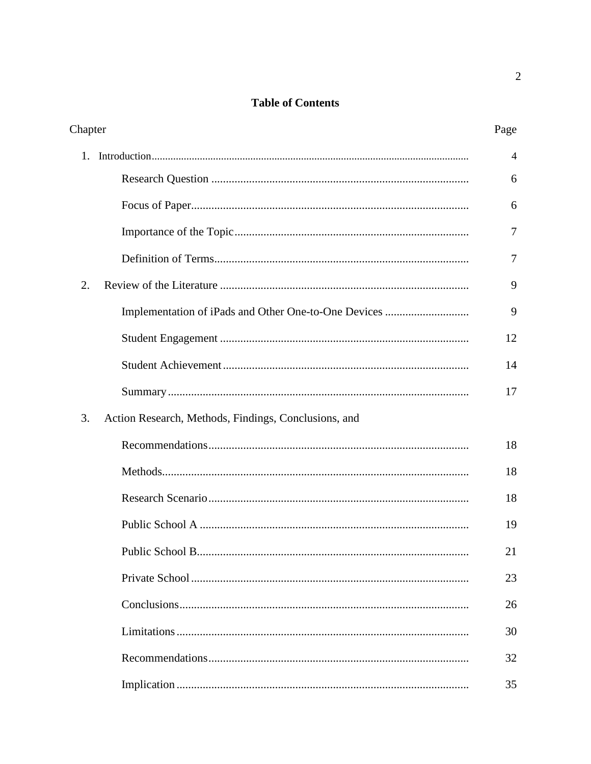# **Table of Contents**

| Chapter |                                                      | Page           |
|---------|------------------------------------------------------|----------------|
| 1.      |                                                      | $\overline{4}$ |
|         |                                                      | 6              |
|         |                                                      | 6              |
|         |                                                      | 7              |
|         |                                                      | 7              |
| 2.      |                                                      | 9              |
|         |                                                      | 9              |
|         |                                                      | 12             |
|         |                                                      | 14             |
|         |                                                      | 17             |
| 3.      | Action Research, Methods, Findings, Conclusions, and |                |
|         |                                                      | 18             |
|         |                                                      | 18             |
|         |                                                      | 18             |
|         |                                                      | 19             |
|         |                                                      | 21             |
|         |                                                      | 23             |
|         |                                                      | 26             |
|         |                                                      | 30             |
|         |                                                      | 32             |
|         |                                                      | 35             |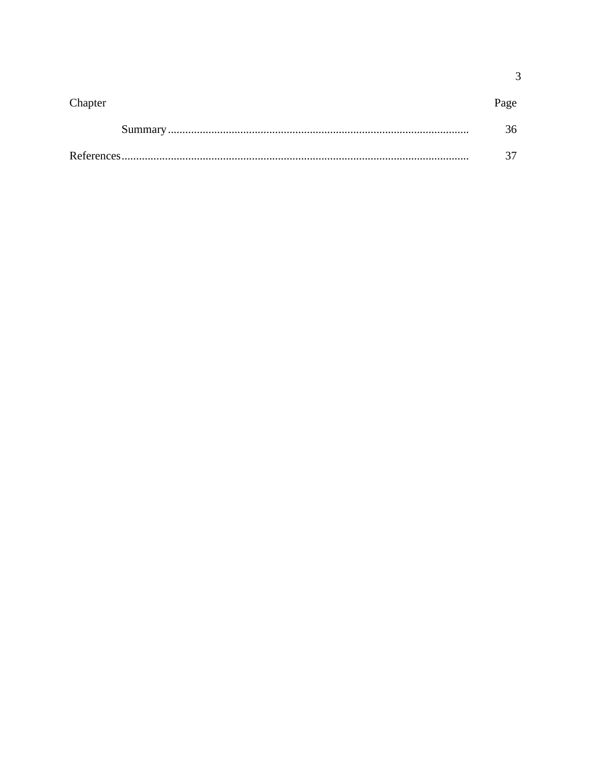| Chapter | Page |
|---------|------|
|         | 36   |
|         |      |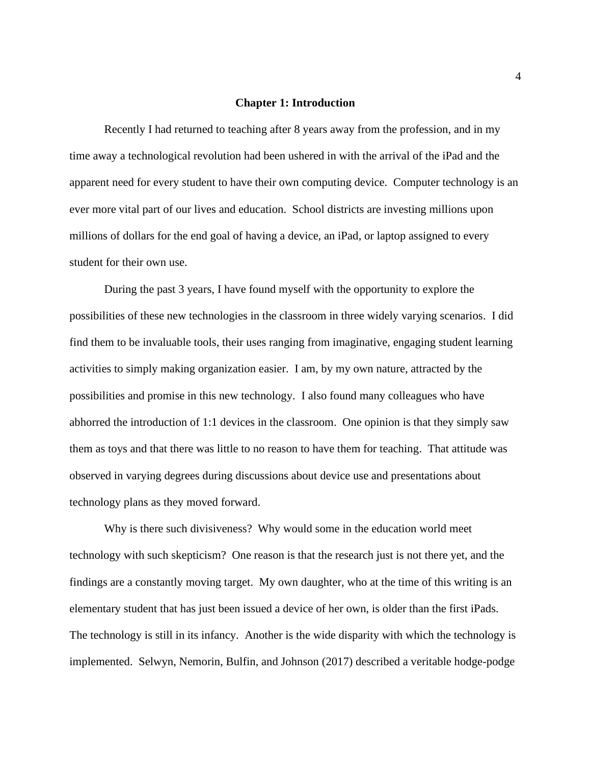#### **Chapter 1: Introduction**

Recently I had returned to teaching after 8 years away from the profession, and in my time away a technological revolution had been ushered in with the arrival of the iPad and the apparent need for every student to have their own computing device. Computer technology is an ever more vital part of our lives and education. School districts are investing millions upon millions of dollars for the end goal of having a device, an iPad, or laptop assigned to every student for their own use.

During the past 3 years, I have found myself with the opportunity to explore the possibilities of these new technologies in the classroom in three widely varying scenarios. I did find them to be invaluable tools, their uses ranging from imaginative, engaging student learning activities to simply making organization easier. I am, by my own nature, attracted by the possibilities and promise in this new technology. I also found many colleagues who have abhorred the introduction of 1:1 devices in the classroom. One opinion is that they simply saw them as toys and that there was little to no reason to have them for teaching. That attitude was observed in varying degrees during discussions about device use and presentations about technology plans as they moved forward.

Why is there such divisiveness? Why would some in the education world meet technology with such skepticism? One reason is that the research just is not there yet, and the findings are a constantly moving target. My own daughter, who at the time of this writing is an elementary student that has just been issued a device of her own, is older than the first iPads. The technology is still in its infancy. Another is the wide disparity with which the technology is implemented. Selwyn, Nemorin, Bulfin, and Johnson (2017) described a veritable hodge-podge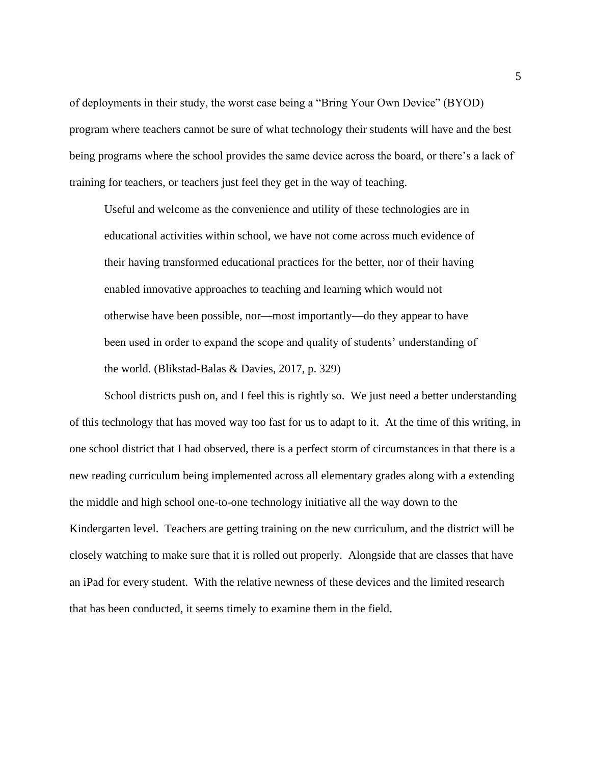of deployments in their study, the worst case being a "Bring Your Own Device" (BYOD) program where teachers cannot be sure of what technology their students will have and the best being programs where the school provides the same device across the board, or there's a lack of training for teachers, or teachers just feel they get in the way of teaching.

Useful and welcome as the convenience and utility of these technologies are in educational activities within school, we have not come across much evidence of their having transformed educational practices for the better, nor of their having enabled innovative approaches to teaching and learning which would not otherwise have been possible, nor—most importantly—do they appear to have been used in order to expand the scope and quality of students' understanding of the world. (Blikstad-Balas & Davies, 2017, p. 329)

School districts push on, and I feel this is rightly so. We just need a better understanding of this technology that has moved way too fast for us to adapt to it. At the time of this writing, in one school district that I had observed, there is a perfect storm of circumstances in that there is a new reading curriculum being implemented across all elementary grades along with a extending the middle and high school one-to-one technology initiative all the way down to the Kindergarten level. Teachers are getting training on the new curriculum, and the district will be closely watching to make sure that it is rolled out properly. Alongside that are classes that have an iPad for every student. With the relative newness of these devices and the limited research that has been conducted, it seems timely to examine them in the field.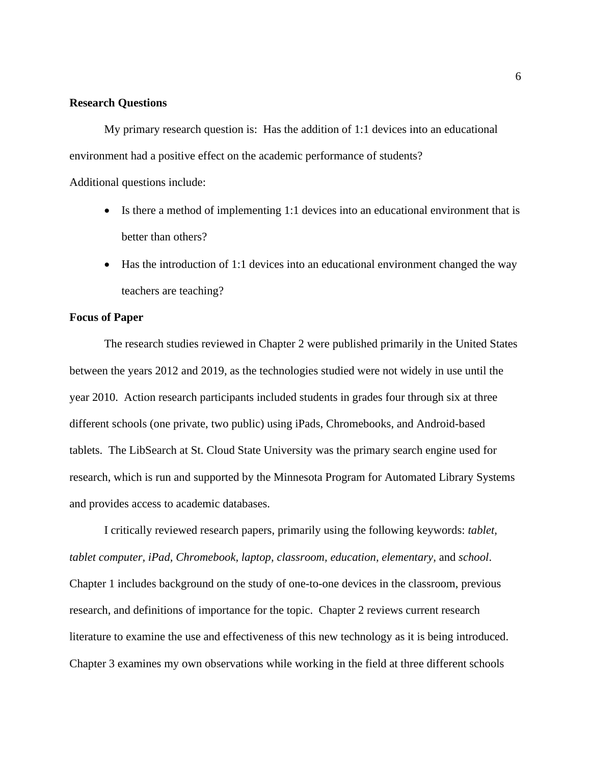### **Research Questions**

My primary research question is: Has the addition of 1:1 devices into an educational environment had a positive effect on the academic performance of students?

Additional questions include:

- Is there a method of implementing 1:1 devices into an educational environment that is better than others?
- Has the introduction of 1:1 devices into an educational environment changed the way teachers are teaching?

### **Focus of Paper**

The research studies reviewed in Chapter 2 were published primarily in the United States between the years 2012 and 2019, as the technologies studied were not widely in use until the year 2010. Action research participants included students in grades four through six at three different schools (one private, two public) using iPads, Chromebooks, and Android-based tablets. The LibSearch at St. Cloud State University was the primary search engine used for research, which is run and supported by the Minnesota Program for Automated Library Systems and provides access to academic databases.

I critically reviewed research papers, primarily using the following keywords: *tablet, tablet computer, iPad, Chromebook, laptop, classroom, education, elementary,* and *school*. Chapter 1 includes background on the study of one-to-one devices in the classroom, previous research, and definitions of importance for the topic. Chapter 2 reviews current research literature to examine the use and effectiveness of this new technology as it is being introduced. Chapter 3 examines my own observations while working in the field at three different schools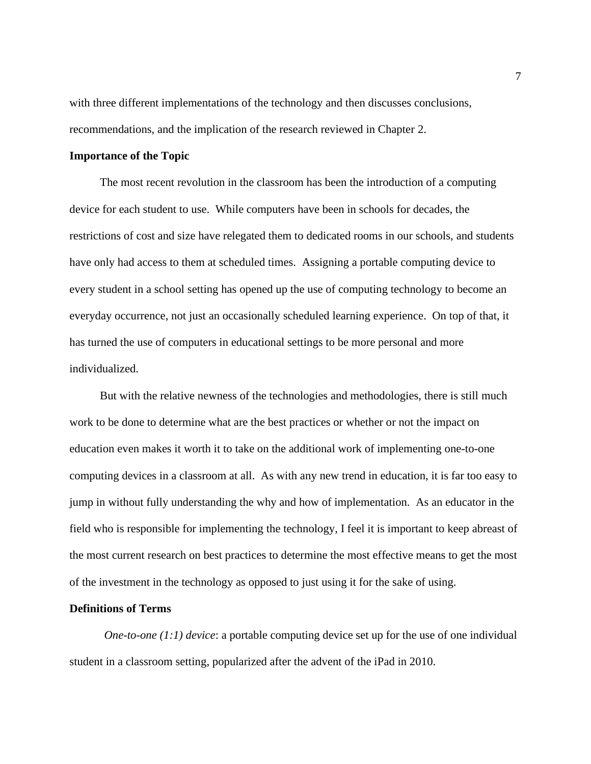with three different implementations of the technology and then discusses conclusions, recommendations, and the implication of the research reviewed in Chapter 2.

#### **Importance of the Topic**

The most recent revolution in the classroom has been the introduction of a computing device for each student to use. While computers have been in schools for decades, the restrictions of cost and size have relegated them to dedicated rooms in our schools, and students have only had access to them at scheduled times. Assigning a portable computing device to every student in a school setting has opened up the use of computing technology to become an everyday occurrence, not just an occasionally scheduled learning experience. On top of that, it has turned the use of computers in educational settings to be more personal and more individualized.

But with the relative newness of the technologies and methodologies, there is still much work to be done to determine what are the best practices or whether or not the impact on education even makes it worth it to take on the additional work of implementing one-to-one computing devices in a classroom at all. As with any new trend in education, it is far too easy to jump in without fully understanding the why and how of implementation. As an educator in the field who is responsible for implementing the technology, I feel it is important to keep abreast of the most current research on best practices to determine the most effective means to get the most of the investment in the technology as opposed to just using it for the sake of using.

### **Definitions of Terms**

*One-to-one (1:1) device*: a portable computing device set up for the use of one individual student in a classroom setting, popularized after the advent of the iPad in 2010.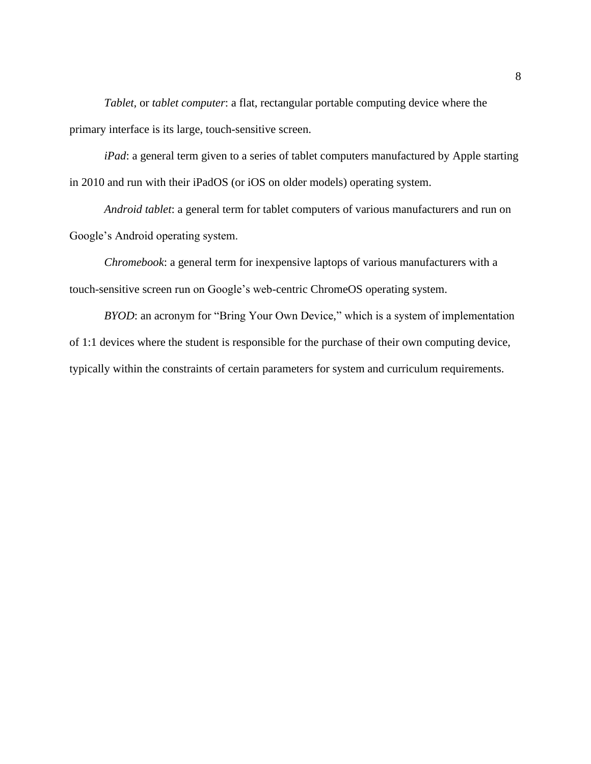*Tablet,* or *tablet computer*: a flat, rectangular portable computing device where the primary interface is its large, touch-sensitive screen.

*iPad*: a general term given to a series of tablet computers manufactured by Apple starting in 2010 and run with their iPadOS (or iOS on older models) operating system.

*Android tablet*: a general term for tablet computers of various manufacturers and run on Google's Android operating system.

*Chromebook*: a general term for inexpensive laptops of various manufacturers with a touch-sensitive screen run on Google's web-centric ChromeOS operating system.

*BYOD*: an acronym for "Bring Your Own Device," which is a system of implementation of 1:1 devices where the student is responsible for the purchase of their own computing device, typically within the constraints of certain parameters for system and curriculum requirements.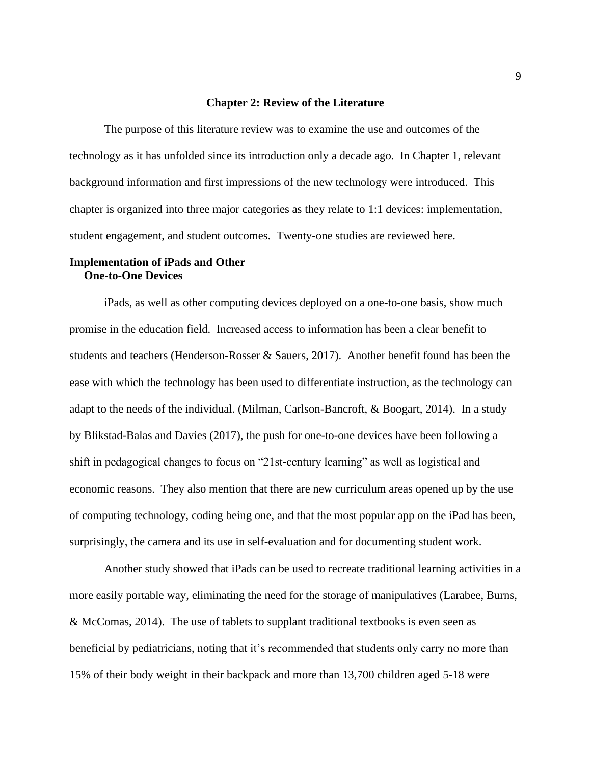#### **Chapter 2: Review of the Literature**

The purpose of this literature review was to examine the use and outcomes of the technology as it has unfolded since its introduction only a decade ago. In Chapter 1, relevant background information and first impressions of the new technology were introduced. This chapter is organized into three major categories as they relate to 1:1 devices: implementation, student engagement, and student outcomes. Twenty-one studies are reviewed here.

# **Implementation of iPads and Other One-to-One Devices**

iPads, as well as other computing devices deployed on a one-to-one basis, show much promise in the education field. Increased access to information has been a clear benefit to students and teachers (Henderson-Rosser & Sauers, 2017). Another benefit found has been the ease with which the technology has been used to differentiate instruction, as the technology can adapt to the needs of the individual. (Milman, Carlson-Bancroft, & Boogart, 2014). In a study by Blikstad-Balas and Davies (2017), the push for one-to-one devices have been following a shift in pedagogical changes to focus on "21st-century learning" as well as logistical and economic reasons. They also mention that there are new curriculum areas opened up by the use of computing technology, coding being one, and that the most popular app on the iPad has been, surprisingly, the camera and its use in self-evaluation and for documenting student work.

Another study showed that iPads can be used to recreate traditional learning activities in a more easily portable way, eliminating the need for the storage of manipulatives (Larabee, Burns, & McComas, 2014). The use of tablets to supplant traditional textbooks is even seen as beneficial by pediatricians, noting that it's recommended that students only carry no more than 15% of their body weight in their backpack and more than 13,700 children aged 5-18 were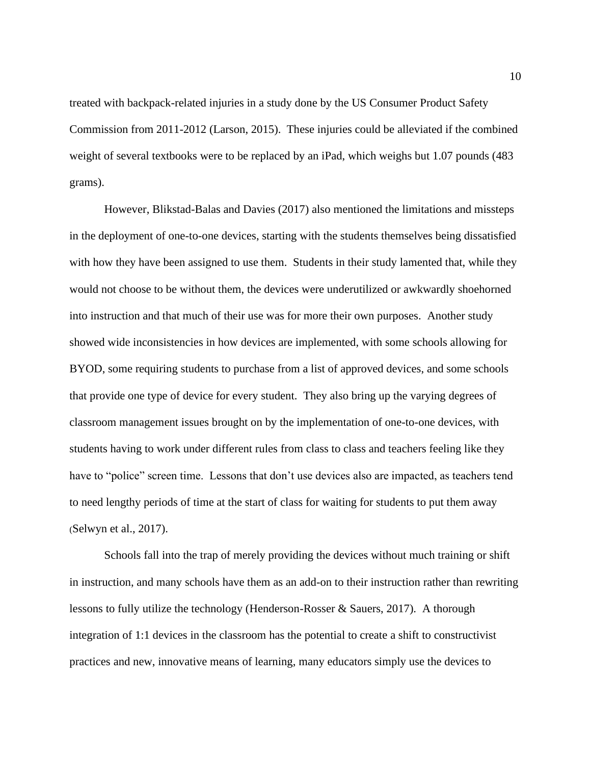treated with backpack-related injuries in a study done by the US Consumer Product Safety Commission from 2011-2012 (Larson, 2015). These injuries could be alleviated if the combined weight of several textbooks were to be replaced by an iPad, which weighs but 1.07 pounds (483 grams).

However, Blikstad-Balas and Davies (2017) also mentioned the limitations and missteps in the deployment of one-to-one devices, starting with the students themselves being dissatisfied with how they have been assigned to use them. Students in their study lamented that, while they would not choose to be without them, the devices were underutilized or awkwardly shoehorned into instruction and that much of their use was for more their own purposes. Another study showed wide inconsistencies in how devices are implemented, with some schools allowing for BYOD, some requiring students to purchase from a list of approved devices, and some schools that provide one type of device for every student. They also bring up the varying degrees of classroom management issues brought on by the implementation of one-to-one devices, with students having to work under different rules from class to class and teachers feeling like they have to "police" screen time. Lessons that don't use devices also are impacted, as teachers tend to need lengthy periods of time at the start of class for waiting for students to put them away (Selwyn et al., 2017).

Schools fall into the trap of merely providing the devices without much training or shift in instruction, and many schools have them as an add-on to their instruction rather than rewriting lessons to fully utilize the technology (Henderson-Rosser & Sauers, 2017). A thorough integration of 1:1 devices in the classroom has the potential to create a shift to constructivist practices and new, innovative means of learning, many educators simply use the devices to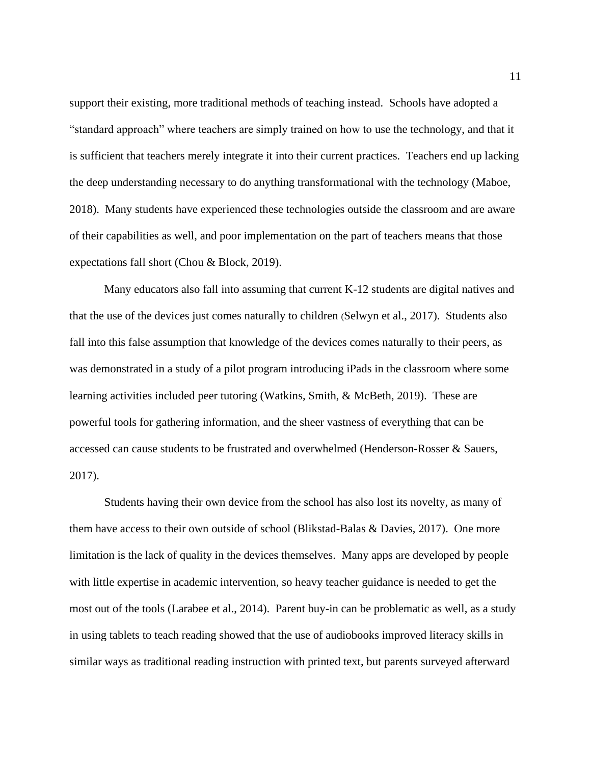support their existing, more traditional methods of teaching instead. Schools have adopted a "standard approach" where teachers are simply trained on how to use the technology, and that it is sufficient that teachers merely integrate it into their current practices. Teachers end up lacking the deep understanding necessary to do anything transformational with the technology (Maboe, 2018). Many students have experienced these technologies outside the classroom and are aware of their capabilities as well, and poor implementation on the part of teachers means that those expectations fall short (Chou & Block, 2019).

Many educators also fall into assuming that current K-12 students are digital natives and that the use of the devices just comes naturally to children (Selwyn et al., 2017). Students also fall into this false assumption that knowledge of the devices comes naturally to their peers, as was demonstrated in a study of a pilot program introducing iPads in the classroom where some learning activities included peer tutoring (Watkins, Smith, & McBeth, 2019). These are powerful tools for gathering information, and the sheer vastness of everything that can be accessed can cause students to be frustrated and overwhelmed (Henderson-Rosser & Sauers, 2017).

Students having their own device from the school has also lost its novelty, as many of them have access to their own outside of school (Blikstad-Balas & Davies, 2017). One more limitation is the lack of quality in the devices themselves. Many apps are developed by people with little expertise in academic intervention, so heavy teacher guidance is needed to get the most out of the tools (Larabee et al., 2014). Parent buy-in can be problematic as well, as a study in using tablets to teach reading showed that the use of audiobooks improved literacy skills in similar ways as traditional reading instruction with printed text, but parents surveyed afterward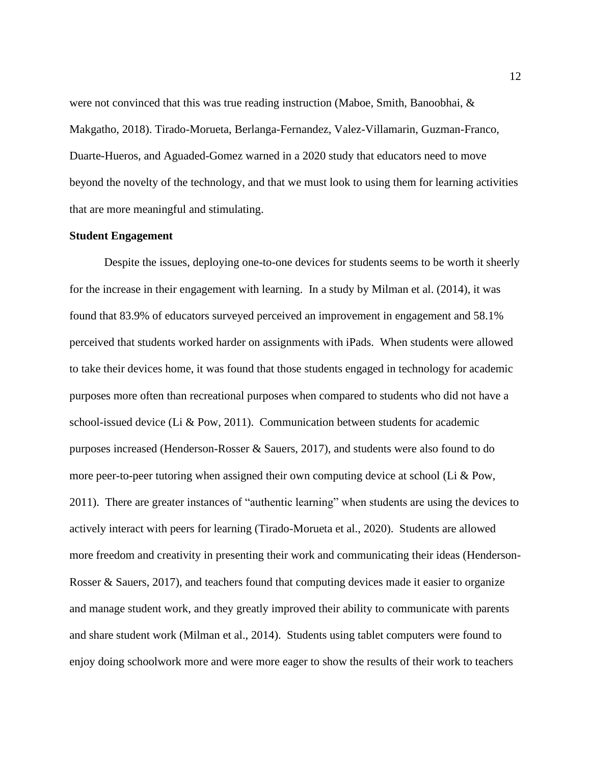were not convinced that this was true reading instruction (Maboe, Smith, Banoobhai, & Makgatho, 2018). Tirado-Morueta, Berlanga-Fernandez, Valez-Villamarin, Guzman-Franco, Duarte-Hueros, and Aguaded-Gomez warned in a 2020 study that educators need to move beyond the novelty of the technology, and that we must look to using them for learning activities that are more meaningful and stimulating.

#### **Student Engagement**

Despite the issues, deploying one-to-one devices for students seems to be worth it sheerly for the increase in their engagement with learning. In a study by Milman et al. (2014), it was found that 83.9% of educators surveyed perceived an improvement in engagement and 58.1% perceived that students worked harder on assignments with iPads. When students were allowed to take their devices home, it was found that those students engaged in technology for academic purposes more often than recreational purposes when compared to students who did not have a school-issued device (Li & Pow, 2011). Communication between students for academic purposes increased (Henderson-Rosser & Sauers, 2017), and students were also found to do more peer-to-peer tutoring when assigned their own computing device at school (Li & Pow, 2011). There are greater instances of "authentic learning" when students are using the devices to actively interact with peers for learning (Tirado-Morueta et al., 2020). Students are allowed more freedom and creativity in presenting their work and communicating their ideas (Henderson-Rosser & Sauers, 2017), and teachers found that computing devices made it easier to organize and manage student work, and they greatly improved their ability to communicate with parents and share student work (Milman et al., 2014). Students using tablet computers were found to enjoy doing schoolwork more and were more eager to show the results of their work to teachers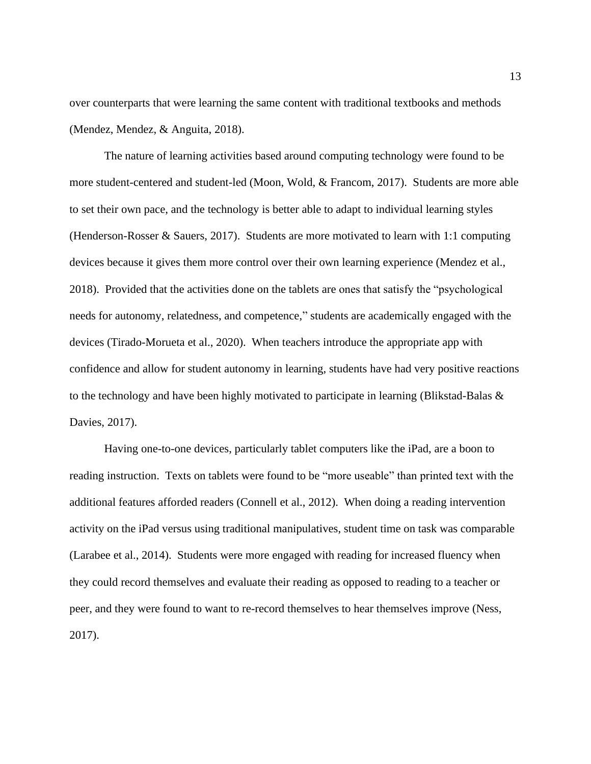over counterparts that were learning the same content with traditional textbooks and methods (Mendez, Mendez, & Anguita, 2018).

The nature of learning activities based around computing technology were found to be more student-centered and student-led (Moon, Wold, & Francom, 2017). Students are more able to set their own pace, and the technology is better able to adapt to individual learning styles (Henderson-Rosser & Sauers, 2017). Students are more motivated to learn with 1:1 computing devices because it gives them more control over their own learning experience (Mendez et al., 2018). Provided that the activities done on the tablets are ones that satisfy the "psychological needs for autonomy, relatedness, and competence," students are academically engaged with the devices (Tirado-Morueta et al., 2020). When teachers introduce the appropriate app with confidence and allow for student autonomy in learning, students have had very positive reactions to the technology and have been highly motivated to participate in learning (Blikstad-Balas  $\&$ Davies, 2017).

Having one-to-one devices, particularly tablet computers like the iPad, are a boon to reading instruction. Texts on tablets were found to be "more useable" than printed text with the additional features afforded readers (Connell et al., 2012). When doing a reading intervention activity on the iPad versus using traditional manipulatives, student time on task was comparable (Larabee et al., 2014). Students were more engaged with reading for increased fluency when they could record themselves and evaluate their reading as opposed to reading to a teacher or peer, and they were found to want to re-record themselves to hear themselves improve (Ness, 2017).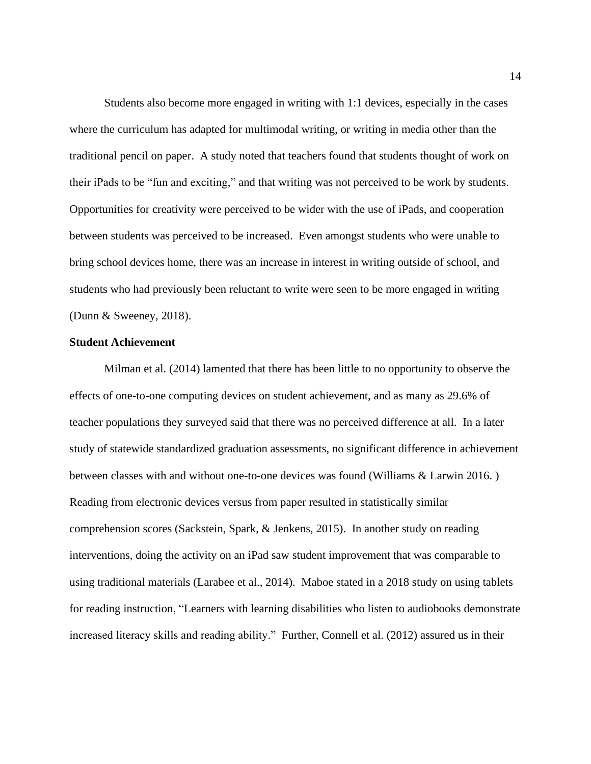Students also become more engaged in writing with 1:1 devices, especially in the cases where the curriculum has adapted for multimodal writing, or writing in media other than the traditional pencil on paper. A study noted that teachers found that students thought of work on their iPads to be "fun and exciting," and that writing was not perceived to be work by students. Opportunities for creativity were perceived to be wider with the use of iPads, and cooperation between students was perceived to be increased. Even amongst students who were unable to bring school devices home, there was an increase in interest in writing outside of school, and students who had previously been reluctant to write were seen to be more engaged in writing (Dunn & Sweeney, 2018).

#### **Student Achievement**

Milman et al. (2014) lamented that there has been little to no opportunity to observe the effects of one-to-one computing devices on student achievement, and as many as 29.6% of teacher populations they surveyed said that there was no perceived difference at all. In a later study of statewide standardized graduation assessments, no significant difference in achievement between classes with and without one-to-one devices was found (Williams & Larwin 2016. ) Reading from electronic devices versus from paper resulted in statistically similar comprehension scores (Sackstein, Spark, & Jenkens, 2015). In another study on reading interventions, doing the activity on an iPad saw student improvement that was comparable to using traditional materials (Larabee et al., 2014). Maboe stated in a 2018 study on using tablets for reading instruction, "Learners with learning disabilities who listen to audiobooks demonstrate increased literacy skills and reading ability." Further, Connell et al. (2012) assured us in their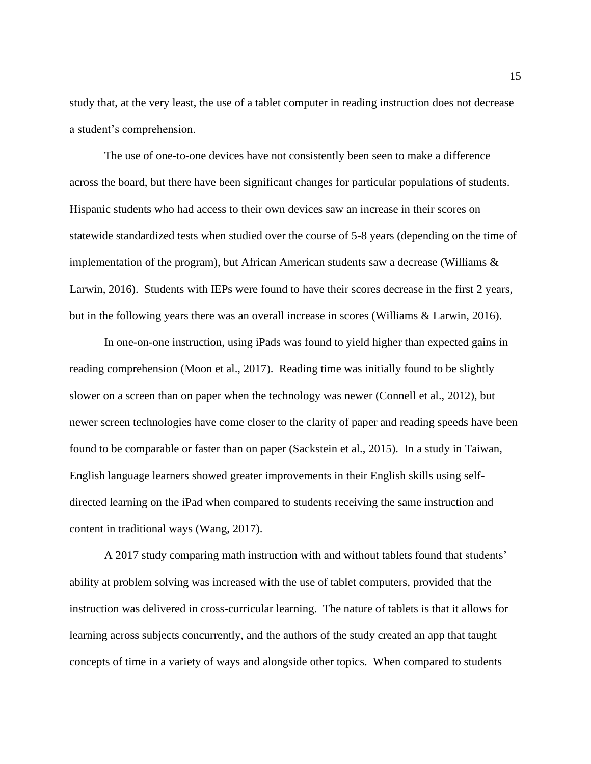study that, at the very least, the use of a tablet computer in reading instruction does not decrease a student's comprehension.

The use of one-to-one devices have not consistently been seen to make a difference across the board, but there have been significant changes for particular populations of students. Hispanic students who had access to their own devices saw an increase in their scores on statewide standardized tests when studied over the course of 5-8 years (depending on the time of implementation of the program), but African American students saw a decrease (Williams  $\&$ Larwin, 2016). Students with IEPs were found to have their scores decrease in the first 2 years, but in the following years there was an overall increase in scores (Williams & Larwin, 2016).

In one-on-one instruction, using iPads was found to yield higher than expected gains in reading comprehension (Moon et al., 2017). Reading time was initially found to be slightly slower on a screen than on paper when the technology was newer (Connell et al., 2012), but newer screen technologies have come closer to the clarity of paper and reading speeds have been found to be comparable or faster than on paper (Sackstein et al., 2015). In a study in Taiwan, English language learners showed greater improvements in their English skills using selfdirected learning on the iPad when compared to students receiving the same instruction and content in traditional ways (Wang, 2017).

A 2017 study comparing math instruction with and without tablets found that students' ability at problem solving was increased with the use of tablet computers, provided that the instruction was delivered in cross-curricular learning. The nature of tablets is that it allows for learning across subjects concurrently, and the authors of the study created an app that taught concepts of time in a variety of ways and alongside other topics. When compared to students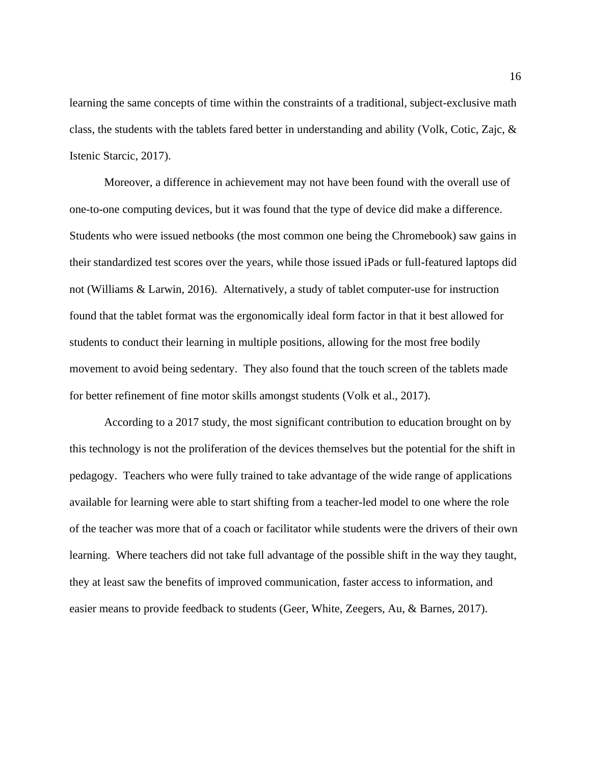learning the same concepts of time within the constraints of a traditional, subject-exclusive math class, the students with the tablets fared better in understanding and ability (Volk, Cotic, Zajc, & Istenic Starcic, 2017).

Moreover, a difference in achievement may not have been found with the overall use of one-to-one computing devices, but it was found that the type of device did make a difference. Students who were issued netbooks (the most common one being the Chromebook) saw gains in their standardized test scores over the years, while those issued iPads or full-featured laptops did not (Williams & Larwin, 2016). Alternatively, a study of tablet computer-use for instruction found that the tablet format was the ergonomically ideal form factor in that it best allowed for students to conduct their learning in multiple positions, allowing for the most free bodily movement to avoid being sedentary. They also found that the touch screen of the tablets made for better refinement of fine motor skills amongst students (Volk et al., 2017).

According to a 2017 study, the most significant contribution to education brought on by this technology is not the proliferation of the devices themselves but the potential for the shift in pedagogy. Teachers who were fully trained to take advantage of the wide range of applications available for learning were able to start shifting from a teacher-led model to one where the role of the teacher was more that of a coach or facilitator while students were the drivers of their own learning. Where teachers did not take full advantage of the possible shift in the way they taught, they at least saw the benefits of improved communication, faster access to information, and easier means to provide feedback to students (Geer, White, Zeegers, Au, & Barnes, 2017).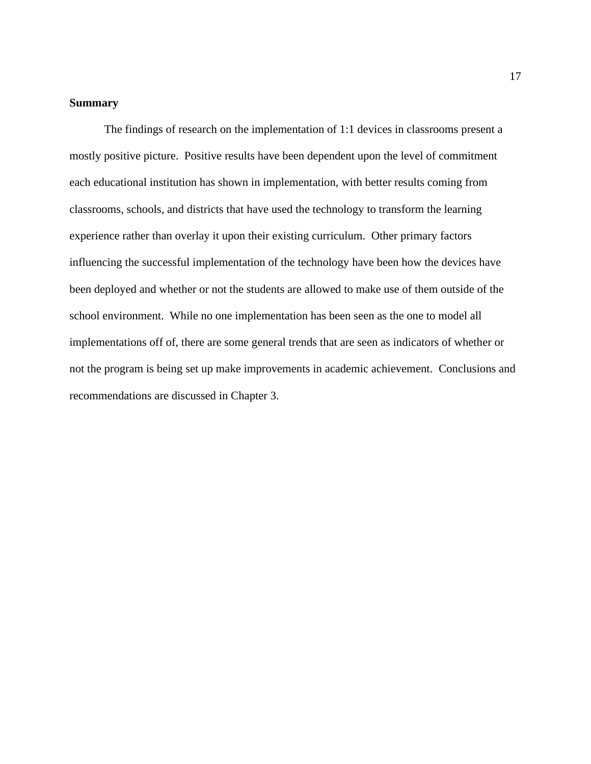### **Summary**

The findings of research on the implementation of 1:1 devices in classrooms present a mostly positive picture. Positive results have been dependent upon the level of commitment each educational institution has shown in implementation, with better results coming from classrooms, schools, and districts that have used the technology to transform the learning experience rather than overlay it upon their existing curriculum. Other primary factors influencing the successful implementation of the technology have been how the devices have been deployed and whether or not the students are allowed to make use of them outside of the school environment. While no one implementation has been seen as the one to model all implementations off of, there are some general trends that are seen as indicators of whether or not the program is being set up make improvements in academic achievement. Conclusions and recommendations are discussed in Chapter 3.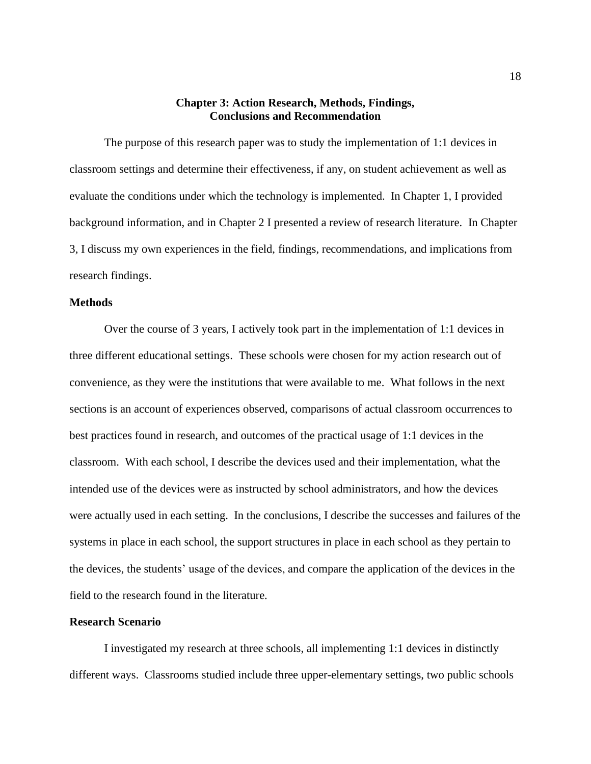# **Chapter 3: Action Research, Methods, Findings, Conclusions and Recommendation**

The purpose of this research paper was to study the implementation of 1:1 devices in classroom settings and determine their effectiveness, if any, on student achievement as well as evaluate the conditions under which the technology is implemented. In Chapter 1, I provided background information, and in Chapter 2 I presented a review of research literature. In Chapter 3, I discuss my own experiences in the field, findings, recommendations, and implications from research findings.

# **Methods**

Over the course of 3 years, I actively took part in the implementation of 1:1 devices in three different educational settings. These schools were chosen for my action research out of convenience, as they were the institutions that were available to me. What follows in the next sections is an account of experiences observed, comparisons of actual classroom occurrences to best practices found in research, and outcomes of the practical usage of 1:1 devices in the classroom. With each school, I describe the devices used and their implementation, what the intended use of the devices were as instructed by school administrators, and how the devices were actually used in each setting. In the conclusions, I describe the successes and failures of the systems in place in each school, the support structures in place in each school as they pertain to the devices, the students' usage of the devices, and compare the application of the devices in the field to the research found in the literature.

# **Research Scenario**

I investigated my research at three schools, all implementing 1:1 devices in distinctly different ways. Classrooms studied include three upper-elementary settings, two public schools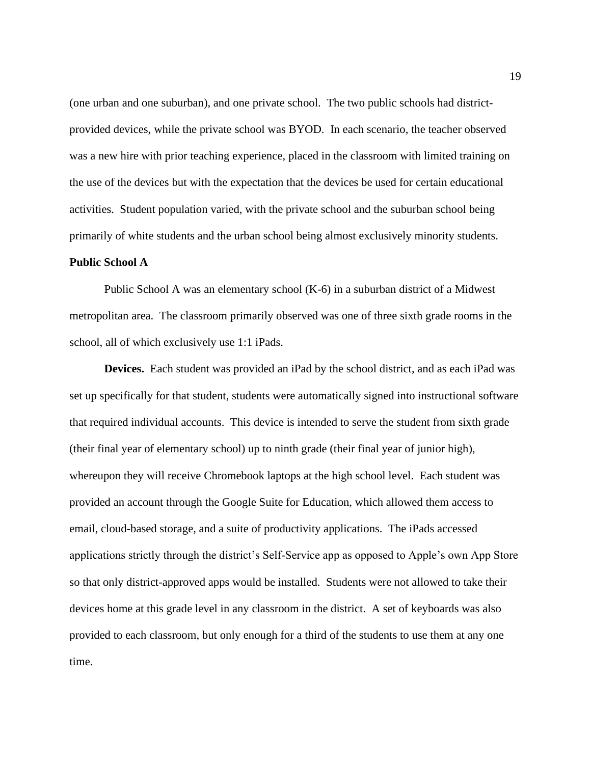(one urban and one suburban), and one private school. The two public schools had districtprovided devices, while the private school was BYOD. In each scenario, the teacher observed was a new hire with prior teaching experience, placed in the classroom with limited training on the use of the devices but with the expectation that the devices be used for certain educational activities. Student population varied, with the private school and the suburban school being primarily of white students and the urban school being almost exclusively minority students.

### **Public School A**

Public School A was an elementary school (K-6) in a suburban district of a Midwest metropolitan area. The classroom primarily observed was one of three sixth grade rooms in the school, all of which exclusively use 1:1 iPads.

**Devices.** Each student was provided an iPad by the school district, and as each iPad was set up specifically for that student, students were automatically signed into instructional software that required individual accounts. This device is intended to serve the student from sixth grade (their final year of elementary school) up to ninth grade (their final year of junior high), whereupon they will receive Chromebook laptops at the high school level. Each student was provided an account through the Google Suite for Education, which allowed them access to email, cloud-based storage, and a suite of productivity applications. The iPads accessed applications strictly through the district's Self-Service app as opposed to Apple's own App Store so that only district-approved apps would be installed. Students were not allowed to take their devices home at this grade level in any classroom in the district. A set of keyboards was also provided to each classroom, but only enough for a third of the students to use them at any one time.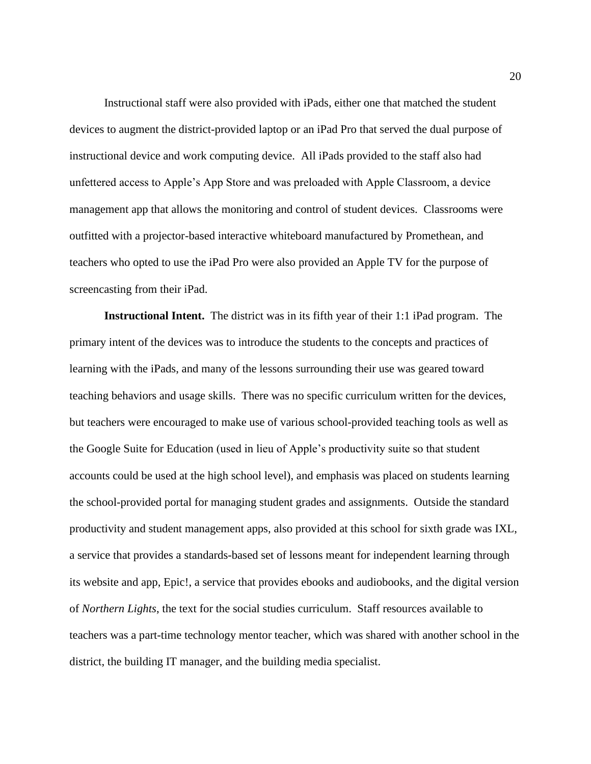Instructional staff were also provided with iPads, either one that matched the student devices to augment the district-provided laptop or an iPad Pro that served the dual purpose of instructional device and work computing device. All iPads provided to the staff also had unfettered access to Apple's App Store and was preloaded with Apple Classroom, a device management app that allows the monitoring and control of student devices. Classrooms were outfitted with a projector-based interactive whiteboard manufactured by Promethean, and teachers who opted to use the iPad Pro were also provided an Apple TV for the purpose of screencasting from their iPad.

**Instructional Intent.** The district was in its fifth year of their 1:1 iPad program. The primary intent of the devices was to introduce the students to the concepts and practices of learning with the iPads, and many of the lessons surrounding their use was geared toward teaching behaviors and usage skills. There was no specific curriculum written for the devices, but teachers were encouraged to make use of various school-provided teaching tools as well as the Google Suite for Education (used in lieu of Apple's productivity suite so that student accounts could be used at the high school level), and emphasis was placed on students learning the school-provided portal for managing student grades and assignments. Outside the standard productivity and student management apps, also provided at this school for sixth grade was IXL, a service that provides a standards-based set of lessons meant for independent learning through its website and app, Epic!, a service that provides ebooks and audiobooks, and the digital version of *Northern Lights*, the text for the social studies curriculum. Staff resources available to teachers was a part-time technology mentor teacher, which was shared with another school in the district, the building IT manager, and the building media specialist.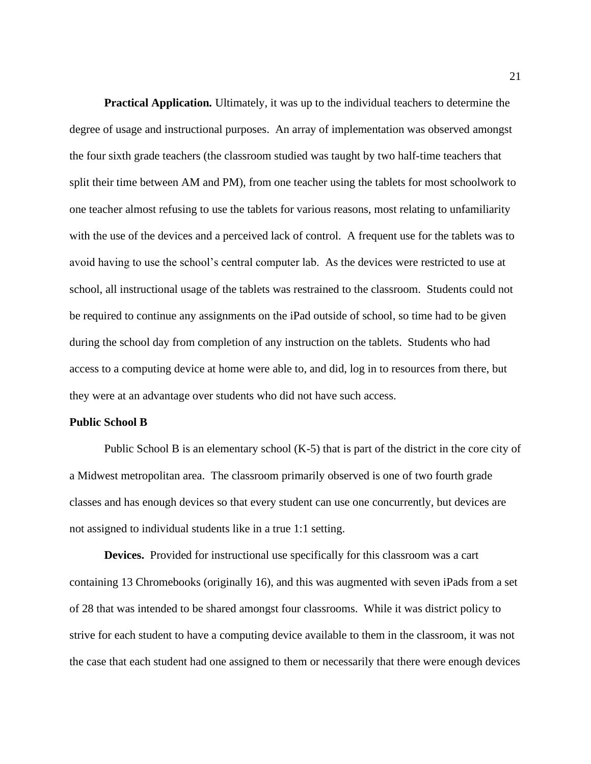**Practical Application***.* Ultimately, it was up to the individual teachers to determine the degree of usage and instructional purposes. An array of implementation was observed amongst the four sixth grade teachers (the classroom studied was taught by two half-time teachers that split their time between AM and PM), from one teacher using the tablets for most schoolwork to one teacher almost refusing to use the tablets for various reasons, most relating to unfamiliarity with the use of the devices and a perceived lack of control. A frequent use for the tablets was to avoid having to use the school's central computer lab. As the devices were restricted to use at school, all instructional usage of the tablets was restrained to the classroom. Students could not be required to continue any assignments on the iPad outside of school, so time had to be given during the school day from completion of any instruction on the tablets. Students who had access to a computing device at home were able to, and did, log in to resources from there, but they were at an advantage over students who did not have such access.

#### **Public School B**

Public School B is an elementary school (K-5) that is part of the district in the core city of a Midwest metropolitan area. The classroom primarily observed is one of two fourth grade classes and has enough devices so that every student can use one concurrently, but devices are not assigned to individual students like in a true 1:1 setting.

**Devices.** Provided for instructional use specifically for this classroom was a cart containing 13 Chromebooks (originally 16), and this was augmented with seven iPads from a set of 28 that was intended to be shared amongst four classrooms. While it was district policy to strive for each student to have a computing device available to them in the classroom, it was not the case that each student had one assigned to them or necessarily that there were enough devices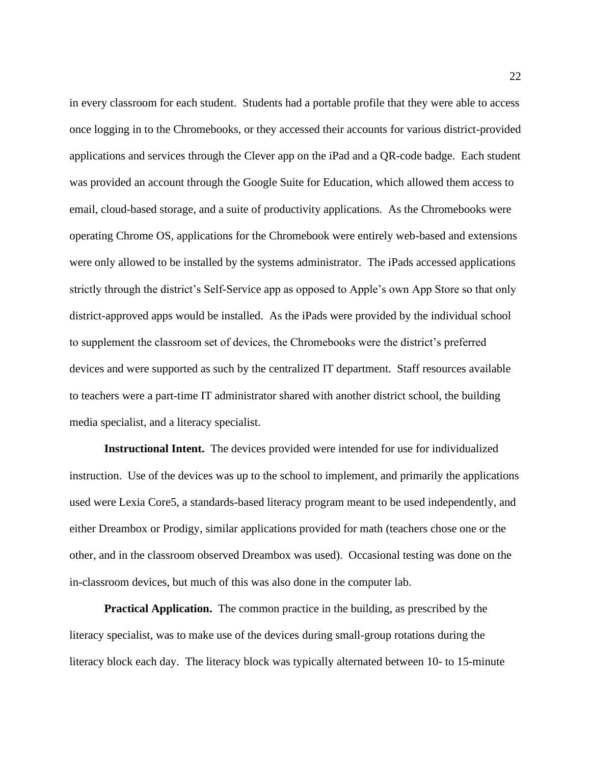in every classroom for each student. Students had a portable profile that they were able to access once logging in to the Chromebooks, or they accessed their accounts for various district-provided applications and services through the Clever app on the iPad and a QR-code badge. Each student was provided an account through the Google Suite for Education, which allowed them access to email, cloud-based storage, and a suite of productivity applications. As the Chromebooks were operating Chrome OS, applications for the Chromebook were entirely web-based and extensions were only allowed to be installed by the systems administrator. The iPads accessed applications strictly through the district's Self-Service app as opposed to Apple's own App Store so that only district-approved apps would be installed. As the iPads were provided by the individual school to supplement the classroom set of devices, the Chromebooks were the district's preferred devices and were supported as such by the centralized IT department. Staff resources available to teachers were a part-time IT administrator shared with another district school, the building media specialist, and a literacy specialist.

**Instructional Intent.** The devices provided were intended for use for individualized instruction. Use of the devices was up to the school to implement, and primarily the applications used were Lexia Core5, a standards-based literacy program meant to be used independently, and either Dreambox or Prodigy, similar applications provided for math (teachers chose one or the other, and in the classroom observed Dreambox was used). Occasional testing was done on the in-classroom devices, but much of this was also done in the computer lab.

**Practical Application.** The common practice in the building, as prescribed by the literacy specialist, was to make use of the devices during small-group rotations during the literacy block each day. The literacy block was typically alternated between 10- to 15-minute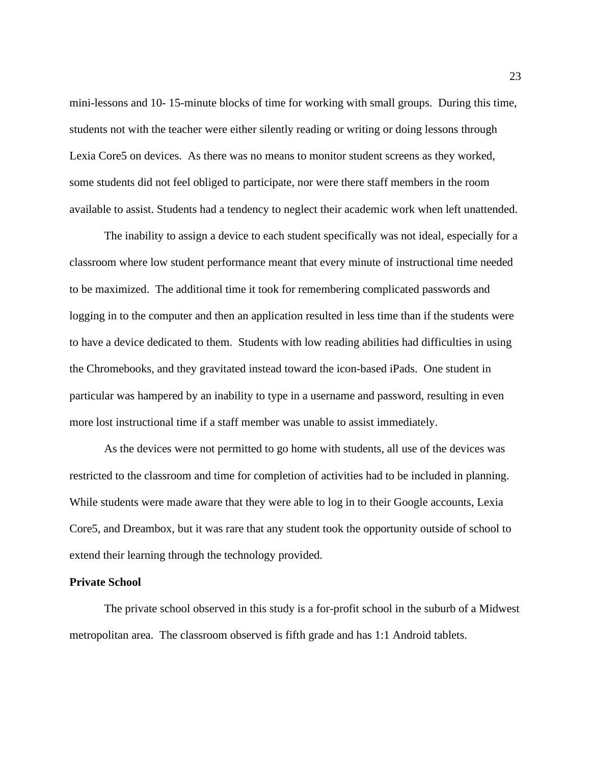mini-lessons and 10- 15-minute blocks of time for working with small groups. During this time, students not with the teacher were either silently reading or writing or doing lessons through Lexia Core5 on devices. As there was no means to monitor student screens as they worked, some students did not feel obliged to participate, nor were there staff members in the room available to assist. Students had a tendency to neglect their academic work when left unattended.

The inability to assign a device to each student specifically was not ideal, especially for a classroom where low student performance meant that every minute of instructional time needed to be maximized. The additional time it took for remembering complicated passwords and logging in to the computer and then an application resulted in less time than if the students were to have a device dedicated to them. Students with low reading abilities had difficulties in using the Chromebooks, and they gravitated instead toward the icon-based iPads. One student in particular was hampered by an inability to type in a username and password, resulting in even more lost instructional time if a staff member was unable to assist immediately.

As the devices were not permitted to go home with students, all use of the devices was restricted to the classroom and time for completion of activities had to be included in planning. While students were made aware that they were able to log in to their Google accounts, Lexia Core5, and Dreambox, but it was rare that any student took the opportunity outside of school to extend their learning through the technology provided.

#### **Private School**

The private school observed in this study is a for-profit school in the suburb of a Midwest metropolitan area. The classroom observed is fifth grade and has 1:1 Android tablets.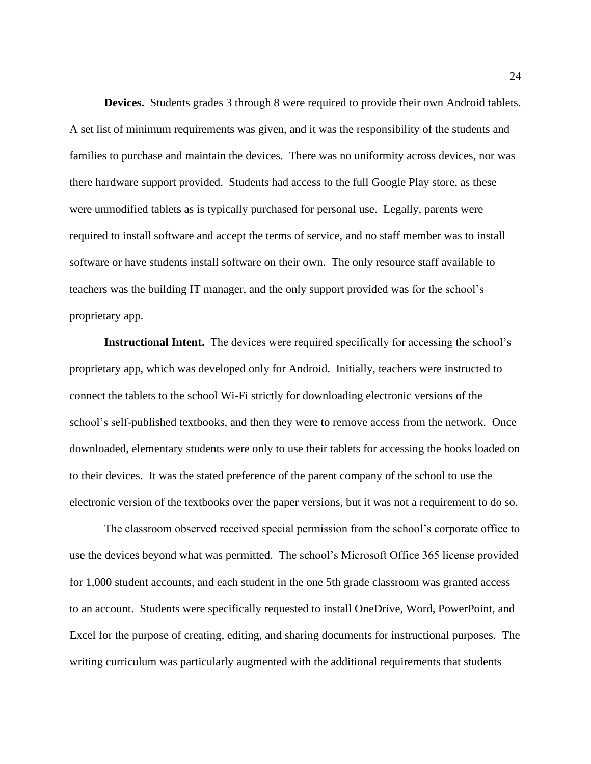**Devices.** Students grades 3 through 8 were required to provide their own Android tablets. A set list of minimum requirements was given, and it was the responsibility of the students and families to purchase and maintain the devices. There was no uniformity across devices, nor was there hardware support provided. Students had access to the full Google Play store, as these were unmodified tablets as is typically purchased for personal use. Legally, parents were required to install software and accept the terms of service, and no staff member was to install software or have students install software on their own. The only resource staff available to teachers was the building IT manager, and the only support provided was for the school's proprietary app.

**Instructional Intent.** The devices were required specifically for accessing the school's proprietary app, which was developed only for Android. Initially, teachers were instructed to connect the tablets to the school Wi-Fi strictly for downloading electronic versions of the school's self-published textbooks, and then they were to remove access from the network. Once downloaded, elementary students were only to use their tablets for accessing the books loaded on to their devices. It was the stated preference of the parent company of the school to use the electronic version of the textbooks over the paper versions, but it was not a requirement to do so.

The classroom observed received special permission from the school's corporate office to use the devices beyond what was permitted. The school's Microsoft Office 365 license provided for 1,000 student accounts, and each student in the one 5th grade classroom was granted access to an account. Students were specifically requested to install OneDrive, Word, PowerPoint, and Excel for the purpose of creating, editing, and sharing documents for instructional purposes. The writing curriculum was particularly augmented with the additional requirements that students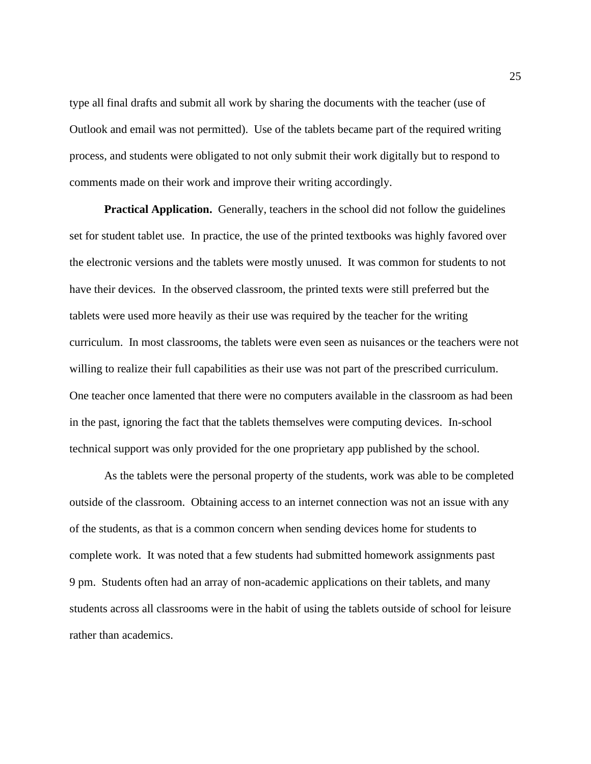type all final drafts and submit all work by sharing the documents with the teacher (use of Outlook and email was not permitted). Use of the tablets became part of the required writing process, and students were obligated to not only submit their work digitally but to respond to comments made on their work and improve their writing accordingly.

**Practical Application.** Generally, teachers in the school did not follow the guidelines set for student tablet use. In practice, the use of the printed textbooks was highly favored over the electronic versions and the tablets were mostly unused. It was common for students to not have their devices. In the observed classroom, the printed texts were still preferred but the tablets were used more heavily as their use was required by the teacher for the writing curriculum. In most classrooms, the tablets were even seen as nuisances or the teachers were not willing to realize their full capabilities as their use was not part of the prescribed curriculum. One teacher once lamented that there were no computers available in the classroom as had been in the past, ignoring the fact that the tablets themselves were computing devices. In-school technical support was only provided for the one proprietary app published by the school.

As the tablets were the personal property of the students, work was able to be completed outside of the classroom. Obtaining access to an internet connection was not an issue with any of the students, as that is a common concern when sending devices home for students to complete work. It was noted that a few students had submitted homework assignments past 9 pm. Students often had an array of non-academic applications on their tablets, and many students across all classrooms were in the habit of using the tablets outside of school for leisure rather than academics.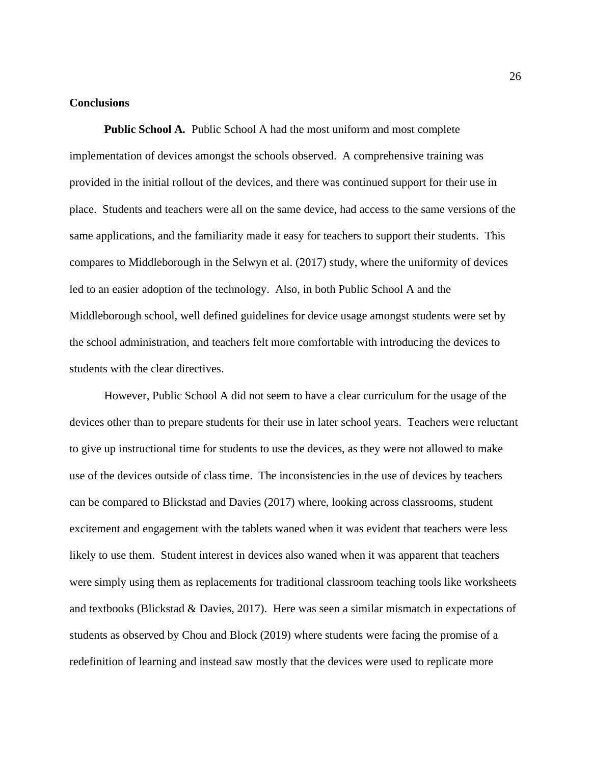### **Conclusions**

**Public School A***.* Public School A had the most uniform and most complete implementation of devices amongst the schools observed. A comprehensive training was provided in the initial rollout of the devices, and there was continued support for their use in place. Students and teachers were all on the same device, had access to the same versions of the same applications, and the familiarity made it easy for teachers to support their students. This compares to Middleborough in the Selwyn et al. (2017) study, where the uniformity of devices led to an easier adoption of the technology. Also, in both Public School A and the Middleborough school, well defined guidelines for device usage amongst students were set by the school administration, and teachers felt more comfortable with introducing the devices to students with the clear directives.

However, Public School A did not seem to have a clear curriculum for the usage of the devices other than to prepare students for their use in later school years. Teachers were reluctant to give up instructional time for students to use the devices, as they were not allowed to make use of the devices outside of class time. The inconsistencies in the use of devices by teachers can be compared to Blickstad and Davies (2017) where, looking across classrooms, student excitement and engagement with the tablets waned when it was evident that teachers were less likely to use them. Student interest in devices also waned when it was apparent that teachers were simply using them as replacements for traditional classroom teaching tools like worksheets and textbooks (Blickstad & Davies, 2017). Here was seen a similar mismatch in expectations of students as observed by Chou and Block (2019) where students were facing the promise of a redefinition of learning and instead saw mostly that the devices were used to replicate more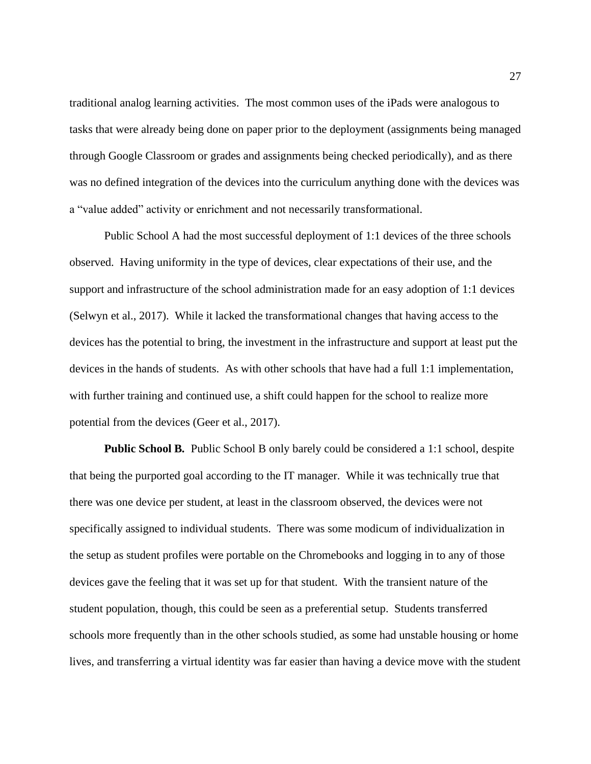traditional analog learning activities. The most common uses of the iPads were analogous to tasks that were already being done on paper prior to the deployment (assignments being managed through Google Classroom or grades and assignments being checked periodically), and as there was no defined integration of the devices into the curriculum anything done with the devices was a "value added" activity or enrichment and not necessarily transformational.

Public School A had the most successful deployment of 1:1 devices of the three schools observed. Having uniformity in the type of devices, clear expectations of their use, and the support and infrastructure of the school administration made for an easy adoption of 1:1 devices (Selwyn et al., 2017). While it lacked the transformational changes that having access to the devices has the potential to bring, the investment in the infrastructure and support at least put the devices in the hands of students. As with other schools that have had a full 1:1 implementation, with further training and continued use, a shift could happen for the school to realize more potential from the devices (Geer et al., 2017).

**Public School B***.* Public School B only barely could be considered a 1:1 school, despite that being the purported goal according to the IT manager. While it was technically true that there was one device per student, at least in the classroom observed, the devices were not specifically assigned to individual students. There was some modicum of individualization in the setup as student profiles were portable on the Chromebooks and logging in to any of those devices gave the feeling that it was set up for that student. With the transient nature of the student population, though, this could be seen as a preferential setup. Students transferred schools more frequently than in the other schools studied, as some had unstable housing or home lives, and transferring a virtual identity was far easier than having a device move with the student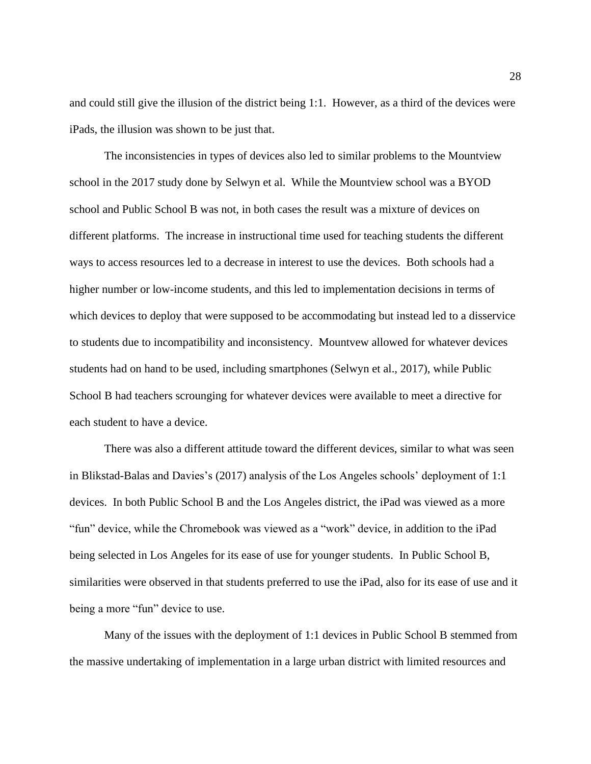and could still give the illusion of the district being 1:1. However, as a third of the devices were iPads, the illusion was shown to be just that.

The inconsistencies in types of devices also led to similar problems to the Mountview school in the 2017 study done by Selwyn et al. While the Mountview school was a BYOD school and Public School B was not, in both cases the result was a mixture of devices on different platforms. The increase in instructional time used for teaching students the different ways to access resources led to a decrease in interest to use the devices. Both schools had a higher number or low-income students, and this led to implementation decisions in terms of which devices to deploy that were supposed to be accommodating but instead led to a disservice to students due to incompatibility and inconsistency. Mountvew allowed for whatever devices students had on hand to be used, including smartphones (Selwyn et al., 2017), while Public School B had teachers scrounging for whatever devices were available to meet a directive for each student to have a device.

There was also a different attitude toward the different devices, similar to what was seen in Blikstad-Balas and Davies's (2017) analysis of the Los Angeles schools' deployment of 1:1 devices. In both Public School B and the Los Angeles district, the iPad was viewed as a more "fun" device, while the Chromebook was viewed as a "work" device, in addition to the iPad being selected in Los Angeles for its ease of use for younger students. In Public School B, similarities were observed in that students preferred to use the iPad, also for its ease of use and it being a more "fun" device to use.

Many of the issues with the deployment of 1:1 devices in Public School B stemmed from the massive undertaking of implementation in a large urban district with limited resources and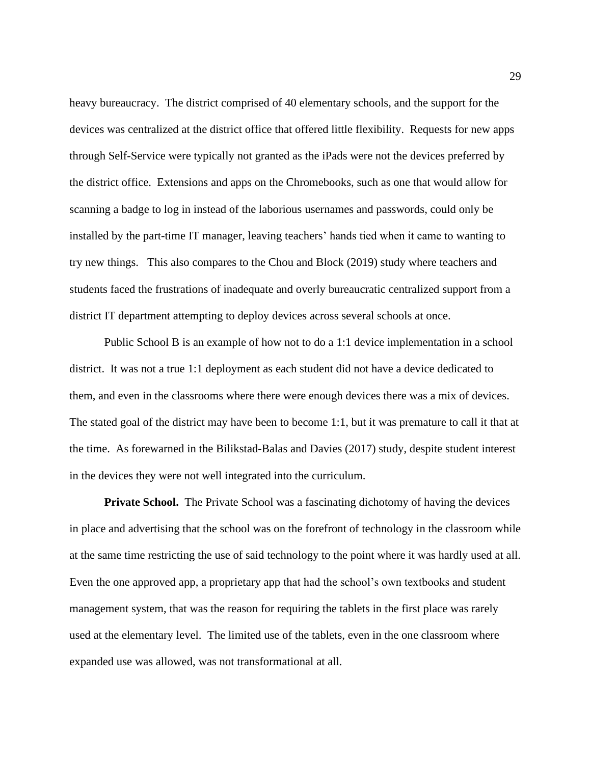heavy bureaucracy. The district comprised of 40 elementary schools, and the support for the devices was centralized at the district office that offered little flexibility. Requests for new apps through Self-Service were typically not granted as the iPads were not the devices preferred by the district office. Extensions and apps on the Chromebooks, such as one that would allow for scanning a badge to log in instead of the laborious usernames and passwords, could only be installed by the part-time IT manager, leaving teachers' hands tied when it came to wanting to try new things. This also compares to the Chou and Block (2019) study where teachers and students faced the frustrations of inadequate and overly bureaucratic centralized support from a district IT department attempting to deploy devices across several schools at once.

Public School B is an example of how not to do a 1:1 device implementation in a school district. It was not a true 1:1 deployment as each student did not have a device dedicated to them, and even in the classrooms where there were enough devices there was a mix of devices. The stated goal of the district may have been to become 1:1, but it was premature to call it that at the time. As forewarned in the Bilikstad-Balas and Davies (2017) study, despite student interest in the devices they were not well integrated into the curriculum.

**Private School.** The Private School was a fascinating dichotomy of having the devices in place and advertising that the school was on the forefront of technology in the classroom while at the same time restricting the use of said technology to the point where it was hardly used at all. Even the one approved app, a proprietary app that had the school's own textbooks and student management system, that was the reason for requiring the tablets in the first place was rarely used at the elementary level. The limited use of the tablets, even in the one classroom where expanded use was allowed, was not transformational at all.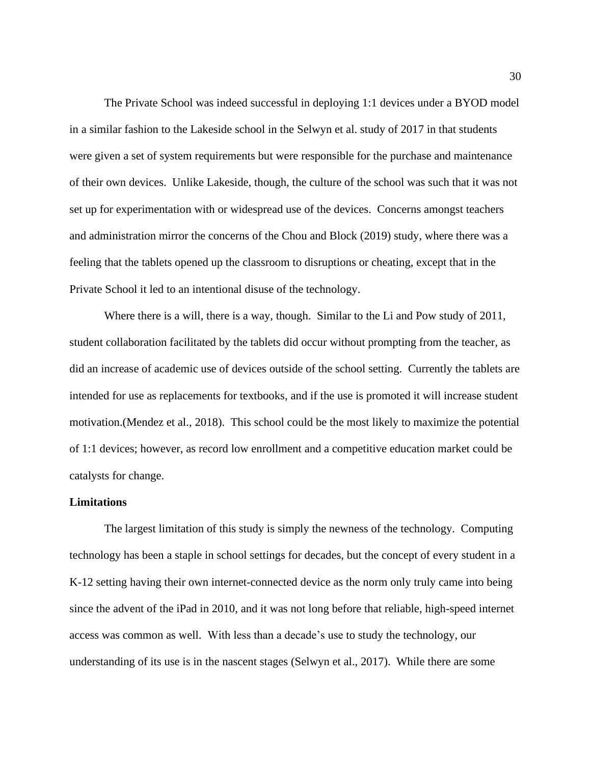The Private School was indeed successful in deploying 1:1 devices under a BYOD model in a similar fashion to the Lakeside school in the Selwyn et al. study of 2017 in that students were given a set of system requirements but were responsible for the purchase and maintenance of their own devices. Unlike Lakeside, though, the culture of the school was such that it was not set up for experimentation with or widespread use of the devices. Concerns amongst teachers and administration mirror the concerns of the Chou and Block (2019) study, where there was a feeling that the tablets opened up the classroom to disruptions or cheating, except that in the Private School it led to an intentional disuse of the technology.

Where there is a will, there is a way, though. Similar to the Li and Pow study of 2011, student collaboration facilitated by the tablets did occur without prompting from the teacher, as did an increase of academic use of devices outside of the school setting. Currently the tablets are intended for use as replacements for textbooks, and if the use is promoted it will increase student motivation.(Mendez et al., 2018). This school could be the most likely to maximize the potential of 1:1 devices; however, as record low enrollment and a competitive education market could be catalysts for change.

### **Limitations**

The largest limitation of this study is simply the newness of the technology. Computing technology has been a staple in school settings for decades, but the concept of every student in a K-12 setting having their own internet-connected device as the norm only truly came into being since the advent of the iPad in 2010, and it was not long before that reliable, high-speed internet access was common as well. With less than a decade's use to study the technology, our understanding of its use is in the nascent stages (Selwyn et al., 2017). While there are some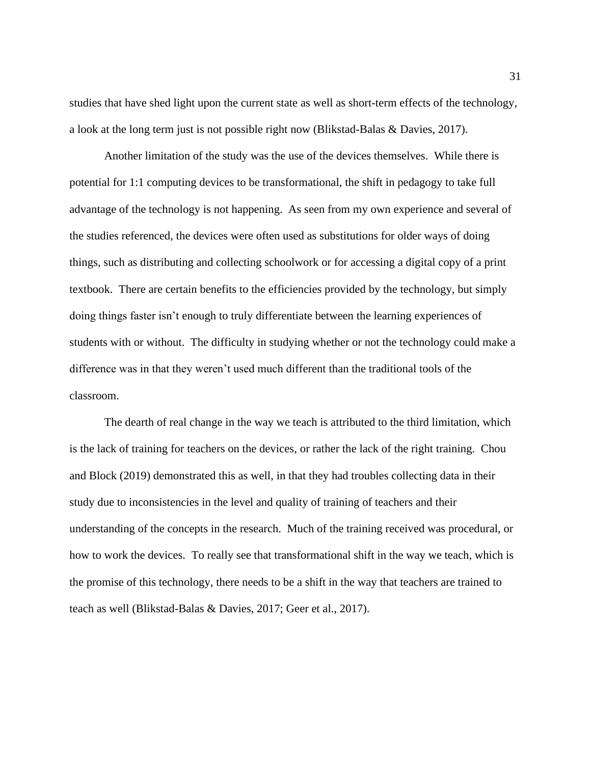studies that have shed light upon the current state as well as short-term effects of the technology, a look at the long term just is not possible right now (Blikstad-Balas & Davies, 2017).

Another limitation of the study was the use of the devices themselves. While there is potential for 1:1 computing devices to be transformational, the shift in pedagogy to take full advantage of the technology is not happening. As seen from my own experience and several of the studies referenced, the devices were often used as substitutions for older ways of doing things, such as distributing and collecting schoolwork or for accessing a digital copy of a print textbook. There are certain benefits to the efficiencies provided by the technology, but simply doing things faster isn't enough to truly differentiate between the learning experiences of students with or without. The difficulty in studying whether or not the technology could make a difference was in that they weren't used much different than the traditional tools of the classroom.

The dearth of real change in the way we teach is attributed to the third limitation, which is the lack of training for teachers on the devices, or rather the lack of the right training. Chou and Block (2019) demonstrated this as well, in that they had troubles collecting data in their study due to inconsistencies in the level and quality of training of teachers and their understanding of the concepts in the research. Much of the training received was procedural, or how to work the devices. To really see that transformational shift in the way we teach, which is the promise of this technology, there needs to be a shift in the way that teachers are trained to teach as well (Blikstad-Balas & Davies, 2017; Geer et al., 2017).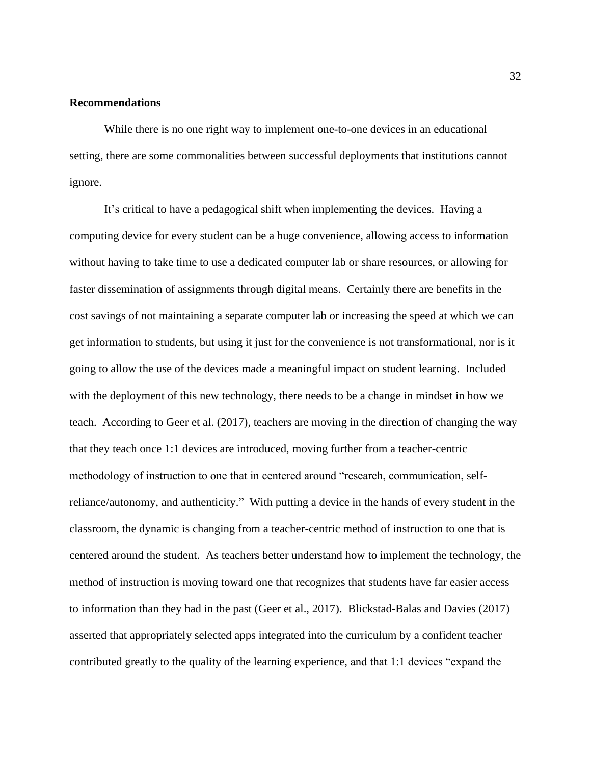### **Recommendations**

While there is no one right way to implement one-to-one devices in an educational setting, there are some commonalities between successful deployments that institutions cannot ignore.

It's critical to have a pedagogical shift when implementing the devices. Having a computing device for every student can be a huge convenience, allowing access to information without having to take time to use a dedicated computer lab or share resources, or allowing for faster dissemination of assignments through digital means. Certainly there are benefits in the cost savings of not maintaining a separate computer lab or increasing the speed at which we can get information to students, but using it just for the convenience is not transformational, nor is it going to allow the use of the devices made a meaningful impact on student learning. Included with the deployment of this new technology, there needs to be a change in mindset in how we teach. According to Geer et al. (2017), teachers are moving in the direction of changing the way that they teach once 1:1 devices are introduced, moving further from a teacher-centric methodology of instruction to one that in centered around "research, communication, selfreliance/autonomy, and authenticity." With putting a device in the hands of every student in the classroom, the dynamic is changing from a teacher-centric method of instruction to one that is centered around the student. As teachers better understand how to implement the technology, the method of instruction is moving toward one that recognizes that students have far easier access to information than they had in the past (Geer et al., 2017). Blickstad-Balas and Davies (2017) asserted that appropriately selected apps integrated into the curriculum by a confident teacher contributed greatly to the quality of the learning experience, and that 1:1 devices "expand the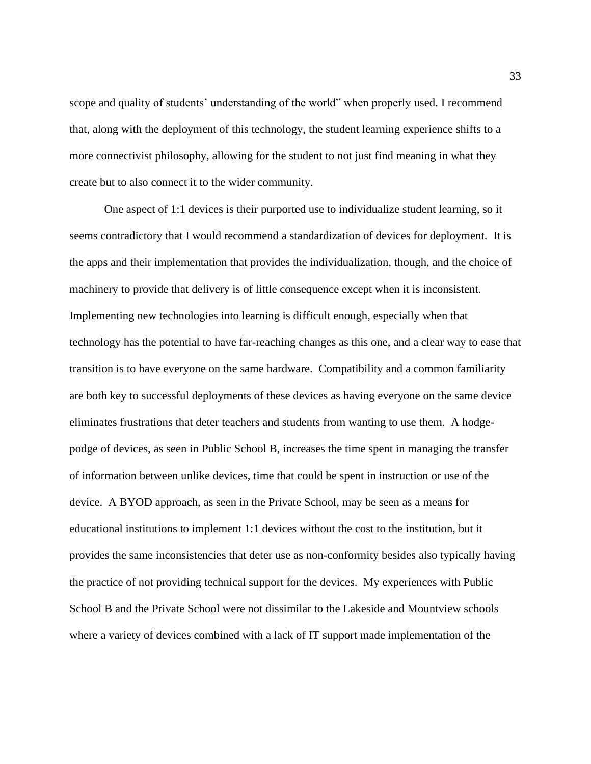scope and quality of students' understanding of the world" when properly used. I recommend that, along with the deployment of this technology, the student learning experience shifts to a more connectivist philosophy, allowing for the student to not just find meaning in what they create but to also connect it to the wider community.

One aspect of 1:1 devices is their purported use to individualize student learning, so it seems contradictory that I would recommend a standardization of devices for deployment. It is the apps and their implementation that provides the individualization, though, and the choice of machinery to provide that delivery is of little consequence except when it is inconsistent. Implementing new technologies into learning is difficult enough, especially when that technology has the potential to have far-reaching changes as this one, and a clear way to ease that transition is to have everyone on the same hardware. Compatibility and a common familiarity are both key to successful deployments of these devices as having everyone on the same device eliminates frustrations that deter teachers and students from wanting to use them. A hodgepodge of devices, as seen in Public School B, increases the time spent in managing the transfer of information between unlike devices, time that could be spent in instruction or use of the device. A BYOD approach, as seen in the Private School, may be seen as a means for educational institutions to implement 1:1 devices without the cost to the institution, but it provides the same inconsistencies that deter use as non-conformity besides also typically having the practice of not providing technical support for the devices. My experiences with Public School B and the Private School were not dissimilar to the Lakeside and Mountview schools where a variety of devices combined with a lack of IT support made implementation of the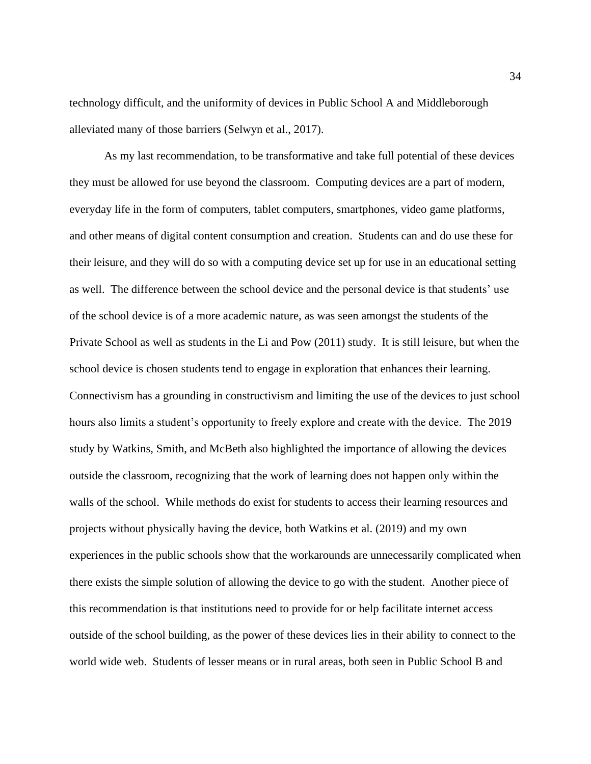technology difficult, and the uniformity of devices in Public School A and Middleborough alleviated many of those barriers (Selwyn et al., 2017).

As my last recommendation, to be transformative and take full potential of these devices they must be allowed for use beyond the classroom. Computing devices are a part of modern, everyday life in the form of computers, tablet computers, smartphones, video game platforms, and other means of digital content consumption and creation. Students can and do use these for their leisure, and they will do so with a computing device set up for use in an educational setting as well. The difference between the school device and the personal device is that students' use of the school device is of a more academic nature, as was seen amongst the students of the Private School as well as students in the Li and Pow (2011) study. It is still leisure, but when the school device is chosen students tend to engage in exploration that enhances their learning. Connectivism has a grounding in constructivism and limiting the use of the devices to just school hours also limits a student's opportunity to freely explore and create with the device. The 2019 study by Watkins, Smith, and McBeth also highlighted the importance of allowing the devices outside the classroom, recognizing that the work of learning does not happen only within the walls of the school. While methods do exist for students to access their learning resources and projects without physically having the device, both Watkins et al. (2019) and my own experiences in the public schools show that the workarounds are unnecessarily complicated when there exists the simple solution of allowing the device to go with the student. Another piece of this recommendation is that institutions need to provide for or help facilitate internet access outside of the school building, as the power of these devices lies in their ability to connect to the world wide web. Students of lesser means or in rural areas, both seen in Public School B and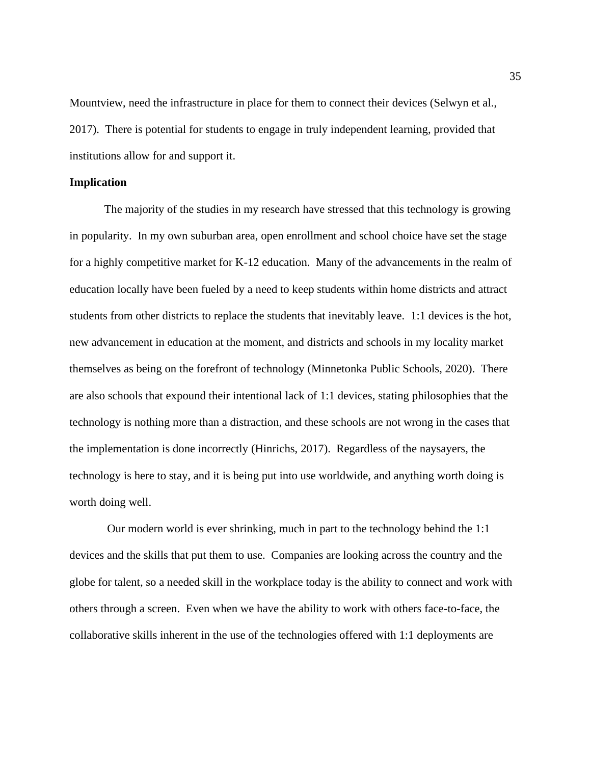Mountview, need the infrastructure in place for them to connect their devices (Selwyn et al., 2017). There is potential for students to engage in truly independent learning, provided that institutions allow for and support it.

### **Implication**

The majority of the studies in my research have stressed that this technology is growing in popularity. In my own suburban area, open enrollment and school choice have set the stage for a highly competitive market for K-12 education. Many of the advancements in the realm of education locally have been fueled by a need to keep students within home districts and attract students from other districts to replace the students that inevitably leave. 1:1 devices is the hot, new advancement in education at the moment, and districts and schools in my locality market themselves as being on the forefront of technology (Minnetonka Public Schools, 2020). There are also schools that expound their intentional lack of 1:1 devices, stating philosophies that the technology is nothing more than a distraction, and these schools are not wrong in the cases that the implementation is done incorrectly (Hinrichs, 2017). Regardless of the naysayers, the technology is here to stay, and it is being put into use worldwide, and anything worth doing is worth doing well.

Our modern world is ever shrinking, much in part to the technology behind the 1:1 devices and the skills that put them to use. Companies are looking across the country and the globe for talent, so a needed skill in the workplace today is the ability to connect and work with others through a screen. Even when we have the ability to work with others face-to-face, the collaborative skills inherent in the use of the technologies offered with 1:1 deployments are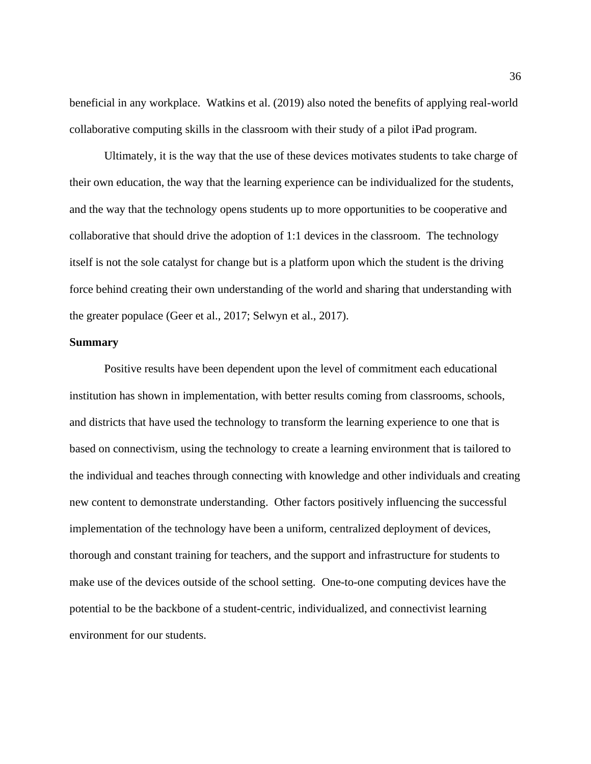beneficial in any workplace. Watkins et al. (2019) also noted the benefits of applying real-world collaborative computing skills in the classroom with their study of a pilot iPad program.

Ultimately, it is the way that the use of these devices motivates students to take charge of their own education, the way that the learning experience can be individualized for the students, and the way that the technology opens students up to more opportunities to be cooperative and collaborative that should drive the adoption of 1:1 devices in the classroom. The technology itself is not the sole catalyst for change but is a platform upon which the student is the driving force behind creating their own understanding of the world and sharing that understanding with the greater populace (Geer et al., 2017; Selwyn et al., 2017).

#### **Summary**

Positive results have been dependent upon the level of commitment each educational institution has shown in implementation, with better results coming from classrooms, schools, and districts that have used the technology to transform the learning experience to one that is based on connectivism, using the technology to create a learning environment that is tailored to the individual and teaches through connecting with knowledge and other individuals and creating new content to demonstrate understanding. Other factors positively influencing the successful implementation of the technology have been a uniform, centralized deployment of devices, thorough and constant training for teachers, and the support and infrastructure for students to make use of the devices outside of the school setting. One-to-one computing devices have the potential to be the backbone of a student-centric, individualized, and connectivist learning environment for our students.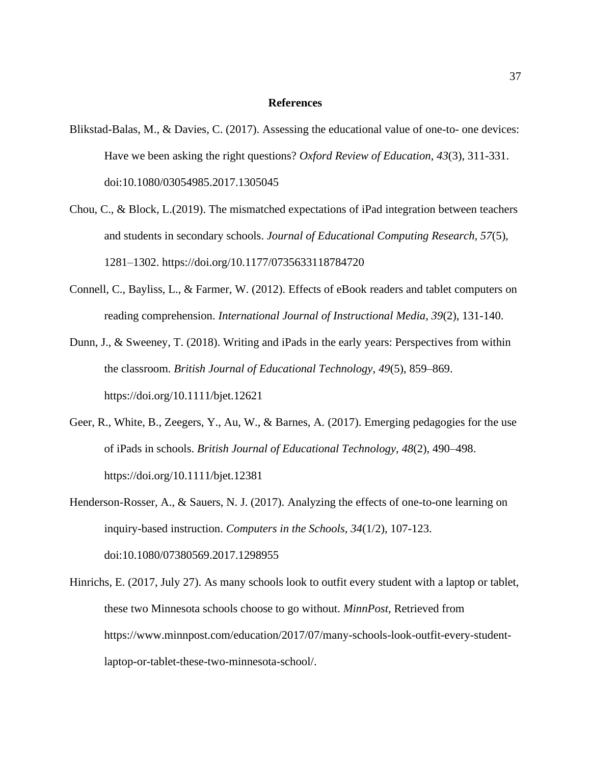#### **References**

- Blikstad-Balas, M., & Davies, C. (2017). Assessing the educational value of one-to- one devices: Have we been asking the right questions? *Oxford Review of Education*, *43*(3), 311-331. doi:10.1080/03054985.2017.1305045
- Chou, C., & Block, L.(2019). The mismatched expectations of iPad integration between teachers and students in secondary schools. *Journal of Educational Computing Research, 57*(5), 1281–1302. https://doi.org/10.1177/0735633118784720
- Connell, C., Bayliss, L., & Farmer, W. (2012). Effects of eBook readers and tablet computers on reading comprehension. *International Journal of Instructional Media*, *39*(2), 131-140.
- Dunn, J., & Sweeney, T. (2018). Writing and iPads in the early years: Perspectives from within the classroom. *British Journal of Educational Technology*, *49*(5), 859–869. https://doi.org/10.1111/bjet.12621
- Geer, R., White, B., Zeegers, Y., Au, W., & Barnes, A. (2017). Emerging pedagogies for the use of iPads in schools. *British Journal of Educational Technology*, *48*(2), 490–498. https://doi.org/10.1111/bjet.12381
- Henderson-Rosser, A., & Sauers, N. J. (2017). Analyzing the effects of one-to-one learning on inquiry-based instruction. *Computers in the Schools*, *34*(1/2), 107-123. doi:10.1080/07380569.2017.1298955
- Hinrichs, E. (2017, July 27). As many schools look to outfit every student with a laptop or tablet, these two Minnesota schools choose to go without. *MinnPost*, Retrieved from https://www.minnpost.com/education/2017/07/many-schools-look-outfit-every-studentlaptop-or-tablet-these-two-minnesota-school/.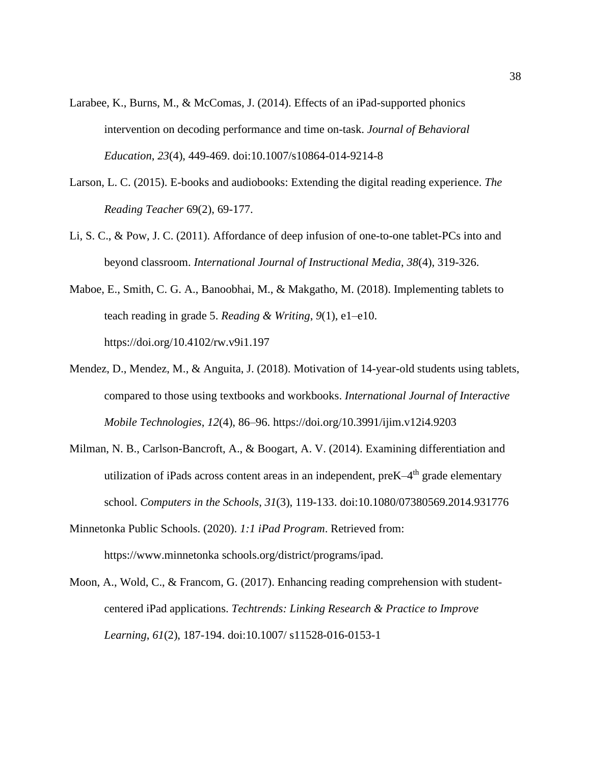- Larabee, K., Burns, M., & McComas, J. (2014). Effects of an iPad-supported phonics intervention on decoding performance and time on-task. *Journal of Behavioral Education*, *23*(4), 449-469. doi:10.1007/s10864-014-9214-8
- Larson, L. C. (2015). E-books and audiobooks: Extending the digital reading experience. *The Reading Teacher* 69(2), 69-177.
- Li, S. C., & Pow, J. C. (2011). Affordance of deep infusion of one-to-one tablet-PCs into and beyond classroom. *International Journal of Instructional Media*, *38*(4), 319-326.
- Maboe, E., Smith, C. G. A., Banoobhai, M., & Makgatho, M. (2018). Implementing tablets to teach reading in grade 5. *Reading & Writing*, *9*(1), e1–e10. https://doi.org/10.4102/rw.v9i1.197
- Mendez, D., Mendez, M., & Anguita, J. (2018). Motivation of 14-year-old students using tablets, compared to those using textbooks and workbooks. *International Journal of Interactive Mobile Technologies*, *12*(4), 86–96. https://doi.org/10.3991/ijim.v12i4.9203
- Milman, N. B., Carlson-Bancroft, A., & Boogart, A. V. (2014). Examining differentiation and utilization of iPads across content areas in an independent, preK-4<sup>th</sup> grade elementary school. *Computers in the Schools*, *31*(3), 119-133. doi:10.1080/07380569.2014.931776
- Minnetonka Public Schools. (2020). *1:1 iPad Program*. Retrieved from: [https://www.minnetonka](https://www.minnetonka/) schools.org/district/programs/ipad.
- Moon, A., Wold, C., & Francom, G. (2017). Enhancing reading comprehension with studentcentered iPad applications. *Techtrends: Linking Research & Practice to Improve Learning*, *61*(2), 187-194. doi:10.1007/ s11528-016-0153-1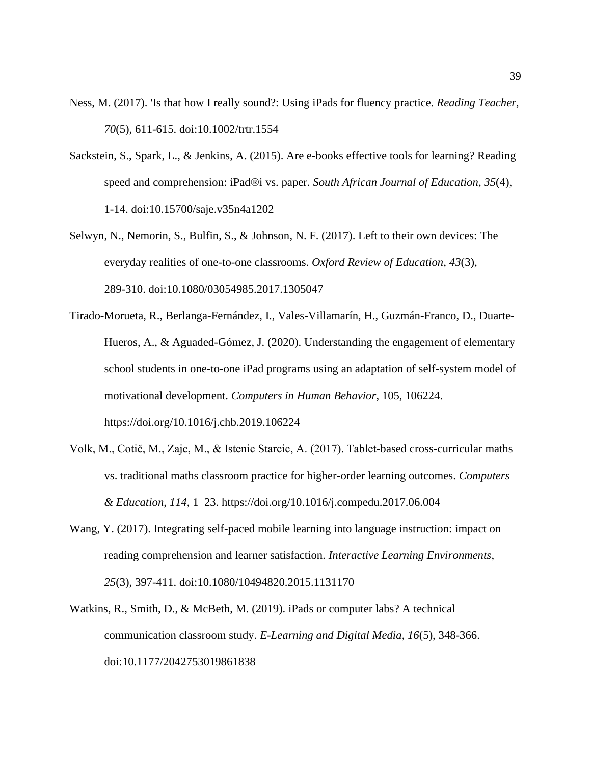- Ness, M. (2017). 'Is that how I really sound?: Using iPads for fluency practice. *Reading Teacher*, *70*(5), 611-615. doi:10.1002/trtr.1554
- Sackstein, S., Spark, L., & Jenkins, A. (2015). Are e-books effective tools for learning? Reading speed and comprehension: iPad®i vs. paper. *South African Journal of Education*, *35*(4), 1-14. doi:10.15700/saje.v35n4a1202
- Selwyn, N., Nemorin, S., Bulfin, S., & Johnson, N. F. (2017). Left to their own devices: The everyday realities of one-to-one classrooms. *Oxford Review of Education*, *43*(3), 289-310. doi:10.1080/03054985.2017.1305047
- Tirado-Morueta, R., Berlanga-Fernández, I., Vales-Villamarín, H., Guzmán-Franco, D., Duarte-Hueros, A., & Aguaded-Gómez, J. (2020). Understanding the engagement of elementary school students in one-to-one iPad programs using an adaptation of self-system model of motivational development. *Computers in Human Behavior*, 105, 106224. https://doi.org/10.1016/j.chb.2019.106224
- Volk, M., Cotič, M., Zajc, M., & Istenic Starcic, A. (2017). Tablet-based cross-curricular maths vs. traditional maths classroom practice for higher-order learning outcomes. *Computers & Education*, *114*, 1–23. https://doi.org/10.1016/j.compedu.2017.06.004
- Wang, Y. (2017). Integrating self-paced mobile learning into language instruction: impact on reading comprehension and learner satisfaction. *Interactive Learning Environments*, *25*(3), 397-411. doi:10.1080/10494820.2015.1131170
- Watkins, R., Smith, D., & McBeth, M. (2019). iPads or computer labs? A technical communication classroom study. *E-Learning and Digital Media*, *16*(5), 348-366. doi:10.1177/2042753019861838